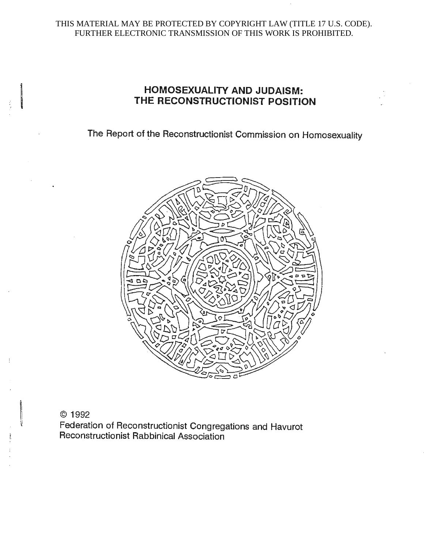# THIS MATERIAL MAY BE PROTECTED BY COPYRIGHT LAW (TITLE 17 U.S. CODE). FURTHER ELECTRONIC TRANSMISSION OF THIS WORK IS PROHIBITED.

# **HOMOSEXUALITY AND JUDAISM:**<br>THE RECONSTRUCTIONIST POSITION **THE RECONSTRUCTIONIST POSITION**

The Report of the Reconstructionist Commission on Homosexuality



## © 1992

Federation of Reconstructionist Congregations and Havurot Reconstructionist Rabbinical Association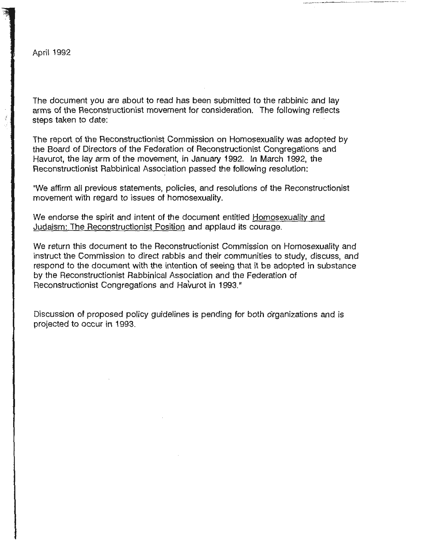j

The document you are about to read has been submitted to the rabbinic and lay arms of the Reconstructionist movement for consideration. The following reflects steps taken to date:

The report of the Reconstructionist Commission on Homosexuality was adopted by the Board of Directors of the Federation of Reconstructionist Congregations and Havurot, the lay arm of the movement, in January 1992. In March 1992, the Reconstructionist Rabbinical Association passed the following resolution:

"We affirm all previous statements, policies, and resolutions of the Reconstructionist movement with regard to issues of homosexuality.

We endorse the spirit and intent of the document entitled Homosexuality and Judaism: The Reconstructionist Position and applaud its courage.

We return this document to the Reconstructionist Commission on Homosexuality and instruct the Commission to direct rabbis and their communities to study, discuss, and respond to the document with the intention of seeing that it be adopted in substance by the Reconstructionist Rabbinical Association and the Federation of Reconstructionist Congregations and Havurot in 1993."

Discussion of proposed policy guidelines is pending for both organizations and is projected to occur in 1993.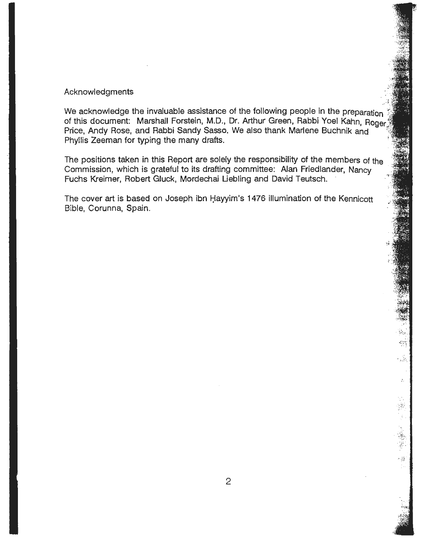#### **Acknowledgments**

We acknowledge the invaluable assistance of the following people in the preparation of this document: Marshall Forstein, M.D., Dr. Arthur Green, Rabbi Yoel Kahn, Roger Price, Andy Rose, and Rabbi Sandy Sasso. We also thank Marlene Buchnik and 1: Phyllis Zeeman for typing the many drafts.

The positions taken in this Report are solely the responsibility of the members of the Commission, which is grateful to its drafting committee: Alan Friedlander, Nancy · Fuchs Kreimer, Robert Gluck, Mordechai Liebling and David Teutsch.

The cover art is based on Joseph ibn Hayyim's 1476 illumination of the Kennicott Bible, Corunna, Spain.

 $\begin{array}{c} \begin{array}{c} \circ \\ \circ \\ \circ \circ \circ \end{array} \end{array}$ *·.f-':* 

 $\frac{1}{2} \frac{1-\mu}{2}$ 

 $\mathcal{A}$ 

 $\hat{\omega}_2$ 

V. Y.

- 21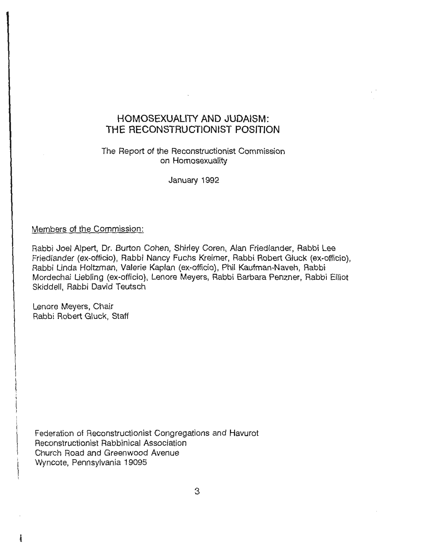# **HOMOSEXUALITY AND JUDAISM: THE RECONSTRUCTIONIST POSITION**

# The Report of the Reconstructionist Commission on Homosexuality

January 1992

## Members of the Commission:

Rabbi Joel Alpert, Dr. Burton Cohen, Shirley Coren, Alan Friedlander, Rabbi Lee Friedlander (ex-officio), Rabbi Nancy Fuchs Kreimer, Rabbi Robert Gluck (ex-officio), Rabbi Linda Holtzman, Valerie Kaplan (ex-officio), Phil Kaufman-Naveh, Rabbi Mordechai Liebling (ex-officio), Lenore Meyers, Rabbi Barbara Penzner, Rabbi Elliot Skiddell, Rabbi David Teutsch

Lenore Meyers, Chair Rabbi Robert Gluck, Staff

**i** 

Federation of Reconstructionist Congregations and Havurot Reconstructionist Rabbinical Association Church Road and Greenwood Avenue Wyncote, Pennsylvania 19095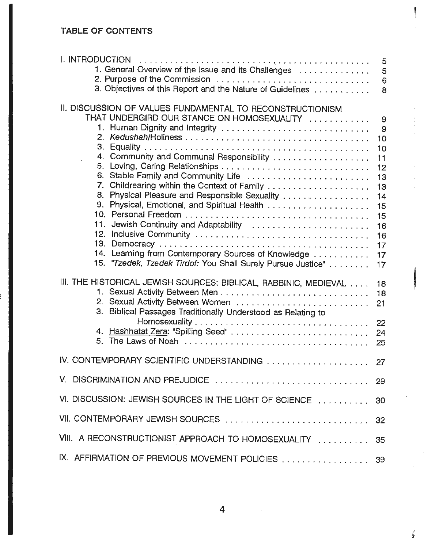# **TABLE OF CONTENTS**

| 1. General Overview of the Issue and its Challenges<br>2. Purpose of the Commission<br>3. Objectives of this Report and the Nature of Guidelines                                                                                                                                                                                                                                                                                                                                                                                                | 5<br>5<br>6<br>8                                                                           |
|-------------------------------------------------------------------------------------------------------------------------------------------------------------------------------------------------------------------------------------------------------------------------------------------------------------------------------------------------------------------------------------------------------------------------------------------------------------------------------------------------------------------------------------------------|--------------------------------------------------------------------------------------------|
| II. DISCUSSION OF VALUES FUNDAMENTAL TO RECONSTRUCTIONISM<br>THAT UNDERGIRD OUR STANCE ON HOMOSEXUALITY<br>1. Human Dignity and Integrity<br>4. Community and Communal Responsibility<br>6. Stable Family and Community Life<br>7. Childrearing within the Context of Family<br>8. Physical Pleasure and Responsible Sexuality<br>9. Physical, Emotional, and Spiritual Health<br>11. Jewish Continuity and Adaptability<br>14. Learning from Contemporary Sources of Knowledge<br>15. "Tzedek, Tzedek Tirdof: You Shall Surely Pursue Justice" | 9<br>9<br>10<br>10<br>11<br>12<br>13<br>13<br>14<br>15<br>15<br>16<br>16<br>17<br>17<br>17 |
| III. THE HISTORICAL JEWISH SOURCES: BIBLICAL, RABBINIC, MEDIEVAL<br>3. Biblical Passages Traditionally Understood as Relating to                                                                                                                                                                                                                                                                                                                                                                                                                | 18<br>18<br>21                                                                             |
| IV. CONTEMPORARY SCIENTIFIC UNDERSTANDING  27                                                                                                                                                                                                                                                                                                                                                                                                                                                                                                   |                                                                                            |
|                                                                                                                                                                                                                                                                                                                                                                                                                                                                                                                                                 |                                                                                            |
| VI. DISCUSSION: JEWISH SOURCES IN THE LIGHT OF SCIENCE                                                                                                                                                                                                                                                                                                                                                                                                                                                                                          | -30                                                                                        |
| VII. CONTEMPORARY JEWISH SOURCES  32                                                                                                                                                                                                                                                                                                                                                                                                                                                                                                            |                                                                                            |
| VIII. A RECONSTRUCTIONIST APPROACH TO HOMOSEXUALITY  35                                                                                                                                                                                                                                                                                                                                                                                                                                                                                         |                                                                                            |
| IX. AFFIRMATION OF PREVIOUS MOVEMENT POLICIES  39                                                                                                                                                                                                                                                                                                                                                                                                                                                                                               |                                                                                            |

ļ

 $\frac{3}{2}$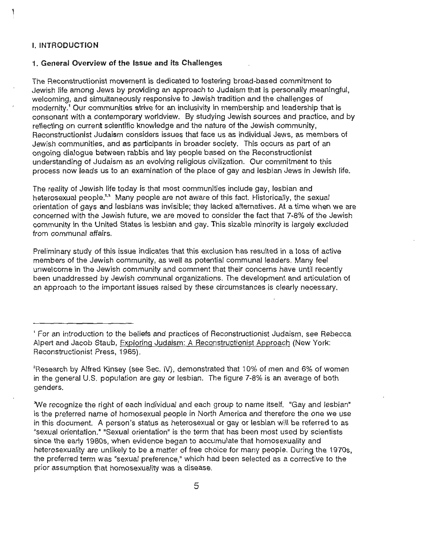#### I. **INTRODUCTION**

#### 1. **General Overview of the Issue and its Challenges**

The Reconstructionist movement is dedicated to fostering broad-based commitment to Jewish life among Jews by providing an approach to Judaism that is personally meaningful, welcoming, and simultaneously responsive to Jewish tradition and the challenges of modernity. <sup>1</sup>Our communities strive for an inclusivity in membership and leadership that is consonant with a contemporary worldview. By studying Jewish sources and practice, and by reflecting on current scientific knowledge and the nature of the Jewish community, Reconstructionist Judaism considers issues that face us as individual Jews, as members of Jewish communities, and as participants in broader society. This occurs as part of an ongoing dialogue between rabbis and lay people based on the Reconstructionist understanding of Judaism as an evolving religious civilization. Our commitment to this process now leads us to an examination of the place of gay and lesbian Jews in Jewish life.

The reality of Jewish life today is that most communities include gay, lesbian and heterosexual people.<sup>2,3</sup> Many people are not aware of this fact. Historically, the sexual orientation of gays and lesbians was invisible; they lacked alternatives. At a time when we are concerned with the Jewish future, we are moved to consider the fact that 7-8% of the Jewish community in the United States is lesbian and gay. This sizable minority is largely excluded from communal affairs.

Preliminary study of this issue indicates that this exclusion has resulted in a loss of active members of the Jewish community, as well as potential communal leaders. Many feel unwelcome in the Jewish community and comment that their concerns have until recently been unaddressed by Jewish communal organizations. The development and articulation of an approach to the important issues raised by these circumstances is clearly necessary.

<sup>&#</sup>x27; For an introduction to the beliefs and practices of Reconstructionist Judaism, see Rebecca Alpert and Jacob Staub, Exploring Judaism: A Reconstructionist Approach (New York: Reconstructionist Press, 1985).

<sup>2</sup> Research by Alfred Kinsey (see Sec. IV), demonstrated that 10% of men and 6% of women in the general U.S. population are gay or lesbian. The figure 7-8% is an average of both genders.

We recognize the right of each individual and each group to name itself. "Gay and lesbian" is the preferred name of homosexual people in North America and therefore the one we use in this document. A person's status as heterosexual or gay or lesbian will be referred to as "sexual orientation." "Sexual orientation" is the term that has been most used by scientists since the early 1980s, when evidence began to accumulate that homosexuality and heterosexuality are unlikely to be a matter of free choice for many people. During the 1970s, the preferred term was "sexual preference," which had been selected as a corrective to the prior assumption that homosexuality was a disease.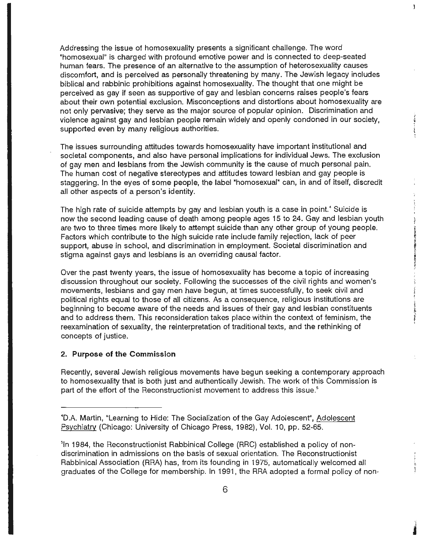Addressing the issue of homosexuality presents a significant challenge. The word "homosexual" is charged with profound emotive power and is connected to deep-seated human fears. The presence of an alternative to the assumption of heterosexuality causes discomfort, and is perceived as personally threatening by many. The Jewish legacy includes biblical and rabbinic prohibitions against homosexuality. The thought that one might be perceived as gay if seen as supportive of gay and lesbian concerns raises people's fears about their own potential exclusion. Misconceptions and distortions about homosexuality are not only pervasive; they serve as the major source of popular opinion. Discrimination and violence against gay and lesbian people remain widely and openly condoned in our society, supported even by many religious authorities.

Ĵ

The issues surrounding attitudes towards homosexuality have important institutional and societal components, and also have personal implications for individual Jews. The exclusion of gay men and lesbians from the Jewish community is the cause of much personal pain. The human cost of negative stereotypes and attitudes toward lesbian and gay people is staggering. In the eyes of some people, the label "homosexual" can, in and of itself, discredit all other aspects of a person's identity.

The high rate of suicide attempts by gay and lesbian youth is a case in point.<sup>4</sup> Suicide is now the second leading cause of death among people ages 15 to 24. Gay and lesbian youth are two to three times more likely to attempt suicide than any other group of young people. Factors which contribute to the high suicide rate include family rejection, lack of peer support, abuse in school, and discrimination in employment. Societal discrimination and stigma against gays and lesbians is an overriding causal factor.

Over the past twenty years, the issue of homosexuality has become a topic of increasing discussion throughout our society. Following the successes of the civil rights and women's movements, lesbians and gay men have begun, at times successfully, to seek civil and political rights equal to those of all citizens. As a consequence, religious institutions are beginning to become aware of the needs and issues of their gay and lesbian constituents and to address them. This reconsideration takes place within the context of feminism, the reexamination of sexuality, the reinterpretation of traditional texts, and the rethinking of concepts of justice.

#### **2. Purpose of the Commission**

Recently, several Jewish religious movements have begun seeking a contemporary approach to homosexuality that is both just and authentically Jewish. The work of this Commission is part of the effort of the Reconstructionist movement to address this issue.<sup>5</sup>

<sup>&</sup>lt;sup>4</sup>D.A. Martin, "Learning to Hide: The Socialization of the Gay Adolescent", Adolescent Psychiatry (Chicago: University of Chicago Press, 1982), Vol. 10, pp. 52-65.

<sup>&</sup>lt;sup>5</sup>In 1984, the Reconstructionist Rabbinical College (RRC) established a policy of nondiscrimination in admissions on the basis of sexual orientation. The Reconstructionist Rabbinical Association (RRA) has, from its founding in 1975, automatically welcomed all graduates of the College for membership. In 1991, the RRA adopted a formal policy of non-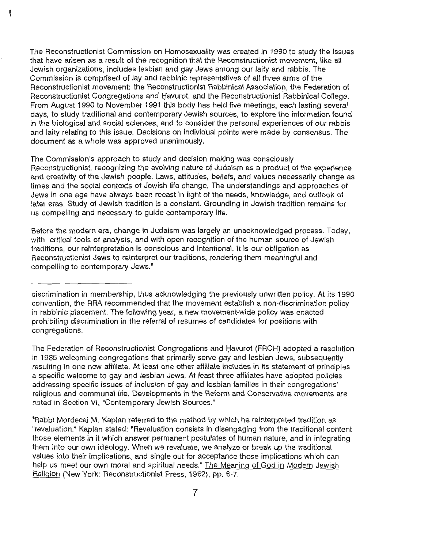The Reconstructionist Commission on Homosexuality was created in 1990 to study the issues that have arisen as a result of the recognition that the Reconstructionist movement, like all Jewish organizations, includes lesbian and gay Jews among our laity and rabbis. The Commission is comprised of lay and rabbinic representatives of all three arms of the Reconstructionist movement: the Reconstructionist Rabbinical Association, the Federation of Reconstructionist Congregations and Havurot, and the Reconstructionist Rabbinical College. From August 1990 to November 1991 this body has held five meetings, each lasting several days, to study traditional and contemporary Jewish sources, to explore the information found in the biological and social sciences, and to consider the personal experiences of our rabbis and laity relating to this issue. Decisions on individual points were made by consensus. The document as a whole was approved unanimously.

۱

The Commission's approach to study and decision making was consciously Reconstructionist, recognizing the evolving nature of Judaism as a product of the experience and creativity of the Jewish people. Laws, attitudes, beliefs, and values necessarily change as times and the social contexts of Jewish life change. The understandings and approaches of Jews in one age have always been recast in light of the needs, knowledge, and outlook of later eras. Study of Jewish tradition is a constant. Grounding in Jewish tradition remains for us compelling and necessary to guide contemporary life.

Before the modern era, change in Judaism was largely an unacknowledged process. Today, with critical tools of analysis, and with open recognition of the human source of Jewish traditions, our reinterpretation is conscious and intentional. It is our obligation as Reconstructionist Jews to reinterpret our traditions, rendering them meaningful and compelling to contemporary Jews.<sup>6</sup>

The Federation of Reconstructionist Congregations and Havurot (FRCH) adopted a resolution in 1985 welcoming congregations that primarily serve gay and lesbian Jews, subsequently resulting in one new affiliate. At least one other affiliate includes in its statement of principles a specific welcome to gay and lesbian Jews. At least three affiliates have adopted policies addressing specific issues of inclusion of gay and lesbian families in their congregations' religious and communal life. Developments in the Reform and Conservative movements are noted in Section VI, "Contemporary Jewish Sources."

6 Rabbi Mordecai M. Kaplan referred to the method by which he reinterpreted tradition as "revaluation." Kaplan stated: "Revaluation consists in disengaging from the traditional content those elements in it which answer permanent postulates of human nature, and in integrating them into our own ideology. When we revaluate, we analyze or break up the traditional values into their implications, and single out for acceptance those implications which can help us meet our own moral and spiritual needs." The Meaning of God in Modern Jewish Religion (New York: Reconstructionist Press, 1962), pp. 6-7.

discrimination in membership, thus acknowledging the previously unwritten policy. At its 1990 convention, the RRA recommended that the movement establish a non-discrimination policy in rabbinic placement. The following year, a new movement-wide policy was enacted prohibiting discrimination in the referral of resumes of candidates for positions with congregations.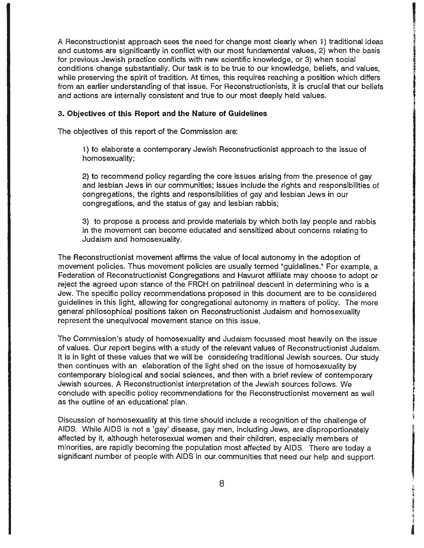A Reconstructionist approach sees the need for change most clearly when 1) traditional ideas and customs are significantly in conflict with our most fundamental values, 2) when the basis for previous Jewish practice conflicts with new scientific knowledge, or 3) when social conditions change substantially. Our task is to be true to our knowledge, beliefs, and values, while preserving the spirit of tradition. At times, this requires reaching a position which differs from an earlier understanding of that issue. For Reconstructionists, it is crucial that our beliefs and actions are internally consistent and true to our most deeply held values.

**I INTERNATIONAL PROPERTY AND A STRAIGHTEN COMPANY OF STRAIGHTEN AND A STRAIGHTEN COMPANY OF STRAIGHTEN AND A ST**<br>The company of straight and a straight and a straight and a straight and a straight and a straight and a str

真実の日本です。結合に有名では、自分を見ることです。<br>|<br>|

**Littleはないと言うことを意味します。**<br><br><br><br><br><br><br><br><br><br><br><br><br><br><br><br><br><br><br><br><br><br><br><br><br><br><br><br><br><br><br><br>

ica<br>international

#### **3. Objectives of this Report and the Nature of Guidelines**

The objectives of this report of the Commission are:

1) to elaborate a contemporary Jewish Reconstructionist approach to the issue of homosexuality;

2) to recommend policy regarding the core issues arising from the presence of gay and lesbian Jews in our communities; issues include the rights and responsibilities of congregations, the rights and responsibilities of gay and lesbian Jews in our congregations, and the status of gay and lesbian rabbis;

3) to propose a process and provide materials by which both lay people and rabbis in the movement can become educated and sensitized about concerns relating to Judaism and homosexuality.

The Reconstructionist movement affirms the value of local autonomy in the adoption of movement policies. Thus movement policies are usually termed "guidelines." For example, a Federation of Reconstructionist Congregations and Havurot affiliate may choose to adopt or reject the agreed upon stance of the FRCH on patrilineal descent in determining who is a Jew. The specific policy recommendations proposed in this document are to be considered guidelines in this light, allowing for congregational autonomy in matters of policy. The more general philosophical positions taken on Reconstructionist Judaism and homosexuality represent the unequivocal movement stance on this issue.

The Commission's study of homosexuality and Judaism focussed most heavily on the issue of values. Our report begins with a study of the relevant values of Reconstructionist Judaism. It is in light of these values that we will be considering traditional Jewish sources. Our study then continues with an elaboration of the light shed on the issue of homosexuality by contemporary biological and social sciences, and then with a brief review of contemporary Jewish sources. A Reconstructionist interpretation of the Jewish sources follows. We conclude with specific policy recommendations for the Reconstructionist movement as well as the outline of an educational plan.

Discussion of homosexuality at this time should include a recognition of the challenge of AIDS. While AIDS is not a 'gay' disease, gay men, including Jews, are disproportionately affected by it, although heterosexual women and their children, especially members of minorities, are rapidly becoming the population most affected by AIDS. There are today a significant number of people with AIDS in our communities that need our help and support.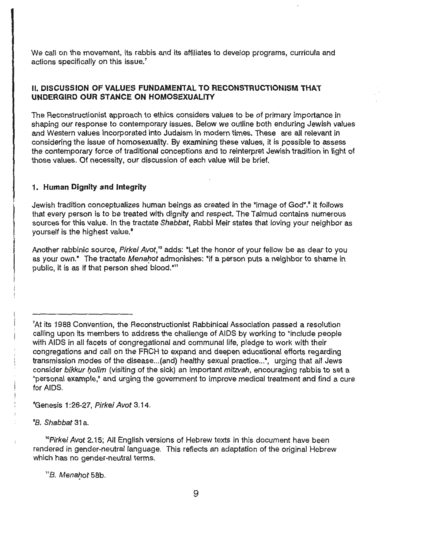We call on the movement, its rabbis and its affiliates to develop programs, curricula and actions specifically on this issue.<sup>7</sup>

#### **11. DISCUSSION OF VALUES FUNDAMENTAL TO RECONSTRUCTIONISM THAT UNDERGIRD OUR STANCE ON HOMOSEXUALITY**

The Reconstructionist approach to ethics considers values to be of primary importance in shaping our response to contemporary issues. Below we outline both enduring Jewish values and Western values incorporated into Judaism in modern times. These are all relevant in considering the issue of homosexuality. By examining these values, it is possible to assess the contemporary force of traditional conceptions and to reinterpret Jewish tradition in light of those values. Of necessity, our discussion of each value will be brief.

#### **1. Human Dignity and Integrity**

Jewish tradition conceptualizes human beings as created in the "image of God".' It follows that every person is to be treated with dignity and respect. The Talmud contains numerous sources for this value. In the tractate Shabbat, Rabbi Meir states that loving your neighbor as yourself is the highest value.<sup>9</sup>

Another rabbinic source, Pirkei Avot,<sup>10</sup> adds: "Let the honor of your fellow be as dear to you as your own.<sup>\*</sup> The tractate Menahot admonishes: "if a person puts a neighbor to shame in public, it is as if that person shed blood."<sup>11</sup>

<sup>e</sup>Genesis 1:26-27, Pirkei Avot 3.14.

°B. Shabbat 31a.

<sup>o</sup>Pirkei Avot 2.15; All English versions of Hebrew texts in this document have been rendered in gender-neutral language. This reflects an adaptation of the original Hebrew which has no gender-neutral terms.

"B. Menahot 58b.

<sup>&</sup>lt;sup>7</sup>At its 1988 Convention, the Reconstructionist Rabbinical Association passed a resolution calling upon its members to address the challenge of AIDS by working to "include people with AIDS in all facets of congregational and communal life, pledge to work with their congregations and call on the FRCH to expand and deepen educational efforts regarding transmission modes of the disease... (and) healthy sexual practice...", urging that all Jews consider bikkur holim (visiting of the sick) an important mitzvah, encouraging rabbis to set a "personal example,• and urging the government to improve medical treatment and find a cure for AIDS.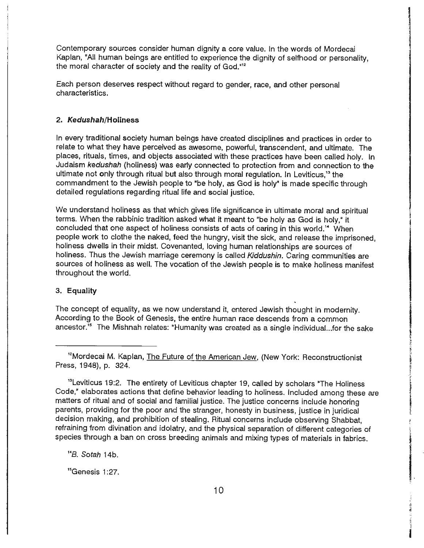Contemporary sources consider human dignity a core value. In the words of Mordecai Kaplan, "All human beings are entitled to experience the dignity of selfhood or personality, the moral character of society and the reality of God.<sup>"12</sup>

light and the control of the control of the control of the control of the control of the control of the control of the control of the control of the control of the control of the control of the control of the control of th

Each person deserves respect without regard to gender, race, and other personal characteristics.

#### **2. Kedushah/Holiness**

In every traditional society human beings have created disciplines and practices in order to relate to what they have perceived as awesome, powerful, transcendent, and ultimate. The places, rituals, times, and objects associated with these practices have been called holy. In Judaism kedushah (holiness) was early connected to protection from and connection to the ultimate not only through ritual but also through moral regulation. In Leviticus,<sup>13</sup> the commandment to the Jewish people to "be holy, as God is holy" is made specific through detailed regulations regarding ritual life and social justice.

We understand holiness as that which gives life significance in ultimate moral and spiritual terms. When the rabbinic tradition asked what it meant to "be holy as God is holy,• it concluded that one aspect of holiness consists of acts of caring in this world.<sup>14</sup> When people work to clothe the naked, feed the hungry, visit the sick, and release the imprisoned, holiness dwells in their midst. Covenanted, loving human relationships are sources of holiness. Thus the Jewish marriage ceremony is called Kiddushin. Caring communities are sources of holiness as well. The vocation of the Jewish people is to make holiness manifest throughout the world.

#### 3. **Equality**

The concept of equality, as we now understand it, entered Jewish thought in modernity. According to the Book of Genesis, the entire human race descends from a common ancestor.<sup>15</sup> The Mishnah relates: "Humanity was created as a single individual... for the sake

<sup>13</sup>Leviticus 19:2. The entirety of Leviticus chapter 19, called by scholars "The Holiness Code," elaborates actions that define behavior leading to holiness. Included among these are matters of ritual and of social and familial justice. The justice concerns include honoring parents, providing for the poor and the stranger, honesty in business, justice in juridical decision making, and prohibition of stealing. Ritual concerns include observing Shabbat, refraining from divination and idolatry, and the physical separation of different categories of species through a ban on cross breeding animals and mixing types of materials in fabrics.

<sup>14</sup>B. Sotah 14b.

<sup>15</sup>Genesis 1:27.

<sup>&</sup>lt;sup>12</sup>Mordecai M. Kaplan, The Future of the American Jew, (New York: Reconstructionist Press, 1948), p. 324.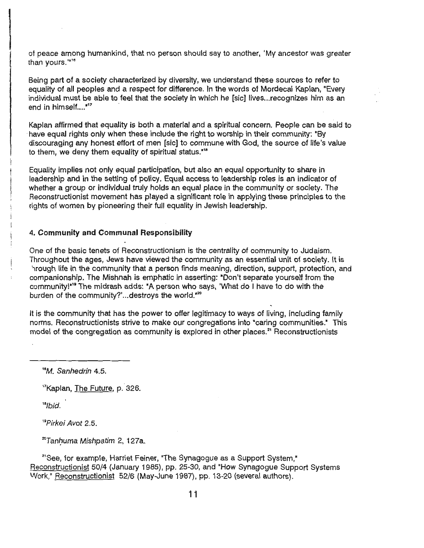le de la construction de la construction de la construction de la construction de la construction de la constr<br>Le construction de la construction de la construction de la construction de la construction de la construction of peace among humankind, that no person should say to another, 'My ancestor was greater than yours."<sup>16</sup>

Being part of a society characterized by diversity, we understand these sources to refer to equality of all peoples and a respect for difference. In the words of Mordecai Kaplan, "Every individual must be able to feel that the society in which he [sic] lives... recognizes him as an end in himself...."'<sup>17</sup>

Kaplan affirmed that equality is both a material and a spiritual concern. People can be said to have equal rights only when these include the right to worship in their community: "By discouraging any honest effort of men [sic] to commune with God, the source of life's value to them, we deny them equality of spiritual status."<sup>18</sup>

Equality implies not only equal participation, but also an equal opportunity to share in leadership and in the setting of policy. Equal access to leadership roles is an indicator of whether a group or individual truly holds an equal place in the community or society. The Reconstructionist movement has played a significant role in applying these principles to the rights of women by pioneering their full equality in Jewish leadership.

#### 4. **Community and Communal Responsibility**

One of the basic tenets of Reconstructionism is the centrality of community to Judaism. Throughout the ages, Jews have viewed the community as an essential unit of society. It is '1rough life in the community that a person finds meaning, direction, support, protection, and companionship. The Mishnah is emphatic in asserting: "Don't separate yourself from the community!"<sup>"</sup> The midrash adds: "A person who says, 'What do I have to do with the burden of the community?'...destroys the world."<sup>20</sup>

It is the community that has the power to offer legitimacy to ways of living, including family norms. Reconstructionists strive to make our congregations into "caring communities." This model of the congregation as community is explored in other places.<sup>21</sup> Reconstructionists

<sup>16</sup>M. Sanhedrin 4.5.

<sup>17</sup>Kaplan, The Future, p. 326.

 $"lbid.$ 

*<sup>19</sup>*Pirkei Avot 2.5.

<sup>20</sup>Tanhuma Mishpatim 2, 127**a**.

<sup>21</sup>See, for example, Harriet Feiner, "The Synagogue as a Support System," Reconstructionist 50/4 (January 1985), pp. 25-30, and "How Synagogue Support Systems Work," Reconstructionist 52/6 (May-June 1987), pp. 13-20 (several authors).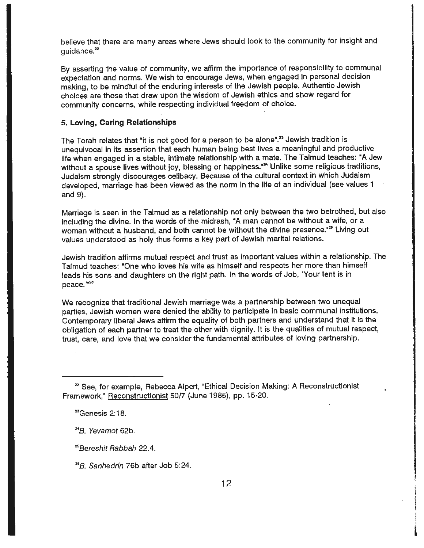believe that there are many areas where Jews should look to the community for insight and guidance.<sup>22</sup>

By asserting the value of community, we affirm the importance of responsibility to communal expectation and norms. We wish to encourage Jews, when engaged in personal decision making, to be mindful of the enduring interests of the Jewish people. Authentic Jewish choices are those that draw upon the wisdom of Jewish ethics and show regard for community concerns, while respecting individual freedom of choice.

#### **5. Loving, Caring Relationships**

The Torah relates that "it is not good for a person to be alone".<sup>23</sup> Jewish tradition is unequivocal in its assertion that each human being best lives a meaningful and productive life when engaged in a stable, intimate relationship with a mate. The Talmud teaches: "A Jew without a spouse lives without joy, blessing or happiness.<sup>824</sup> Unlike some religious traditions, Judaism strongly discourages celibacy. Because of the cultural context in which Judaism developed, marriage has been viewed as the norm in the life of an individual (see values 1 and 9).

Marriage is seen in the Talmud as a relationship not only between the two betrothed, but also including the divine. In the words of the midrash, "A man cannot be without a wife, or a woman without a husband, and both cannot be without the divine presence."<sup>25</sup> Living out values understood as holy thus forms a key part of Jewish marital relations.

Jewish tradition affirms mutual respect and trust as important values within a relationship. The Talmud teaches: "One who loves his wife as himself and respects her more than himself leads his sons and daughters on the right path. In the words of Job, 'Your tent is in peace."<sup>26</sup>

We recognize that traditional Jewish marriage was a partnership between two unequal parties. Jewish women were denied the ability to participate in basic communal institutions. Contemporary liberal Jews affirm the equality of both partners and understand that it is the obligation of each partner to treat the other with dignity. It is the qualities of mutual respect, trust, care, and love that we consider the fundamental attributes of loving partnership.

<sup>24</sup>B. Yevamot 62b.

258ereshit Rabbah 22.4.

<sup>26</sup>B. Sanhedrin 76b after Job 5:24.

<sup>&</sup>lt;sup>22</sup> See, for example, Rebecca Alpert, "Ethical Decision Making: A Reconstructionist Framework," Reconstructionist 50/7 (June 1985), pp. 15-20.

<sup>23</sup>Genesis 2: 18.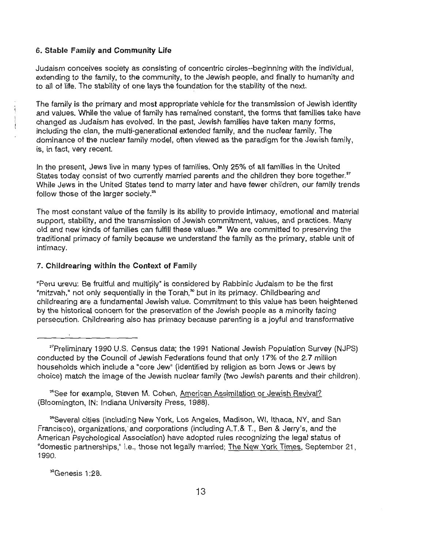#### 6. **Stable Family and Community Life**

Judaism conceives society as consisting of concentric circles--beginning with the individual, extending to the family, to the community, to the Jewish people, and finally to humanity and to all of life. The stability of one lays the foundation for the stability of the next.

The family is the primary and most appropriate vehicle for the transmission of Jewish identity and values. While the value of family has remained constant, the forms that families take have changed as Judaism has evolved. In the past, Jewish families have taken many forms, including the clan, the multi-generational extended family, and the nuclear family. The dominance of the nuclear family model, often viewed as the paradigm for the Jewish family, is, in fact, very recent.

In the present, Jews live in many types of families. Only 25% of all families in the United States today consist of two currently married parents and the children they bore together.<sup>27</sup> While Jews in the United States tend to marry later and have fewer children, our family trends follow those of the larger society. <sup>2</sup> •

The most constant value of the family is its ability to provide intimacy, emotional and material support, stability, and the transmission of Jewish commitment, values, and practices. Many old and new kinds of families can fulfill these values.<sup>29</sup> We are committed to preserving the traditional primacy of family because we understand the family as the primary, stable unit of intimacy.

#### 7. **Childrearing within the Context of Family**

"Peru urevu: Be fruitful and multiply" is considered by Rabbinic Judaism to be the first "mitzvah," not only sequentially in the Torah, $^{\infty}$  but in its primacy. Childbearing and childrearing are a fundamental Jewish value. Commitment to this value has been heightened by the historical concern for the preservation of the Jewish people as a minority facing persecution. Childrearing also has primacy because parenting is a joyful and transformative

<sup>28</sup>See for example, Steven M. Cohen, American Assimilation or Jewish Revival? (Bloomington, IN: Indiana University Press, 1988).

29Several cities (including New York, Los Angeles, Madison, WI, Ithaca, NY, and San Francisco), organizations, and corporations (including A.T.& T., Ben & Jerry's, and the American Psychological Association) have adopted rules recognizing the legal status of "domestic partnerships," i.e., those not legally married; The New York Times, September 21, 1990.

30Genesis 1 :28.

<sup>&</sup>lt;sup>27</sup>Preliminary 1990 U.S. Census data; the 1991 National Jewish Population Survey (NJPS) conducted by the Council of Jewish Federations found that only 17% of the 2.7 million households which include a "core Jew" (identified by religion as born Jews or Jews by choice) match the image of the Jewish nuclear family (two Jewish parents and their children).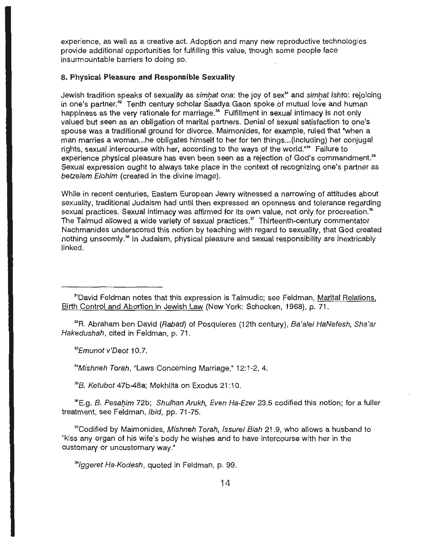experience, as well as a creative act. Adoption and many new reproductive technologies provide additional opportunities for fulfilling this value, though some people face insurmountable barriers to doing so.

#### **8. Physical Pleasure and Responsible Sexuality**

Jewish tradition speaks of sexuality as simhat ona: the joy of sex<sup>31</sup> and simhat ishto: rejoicing in one's partner.<sup>32</sup> Tenth century scholar Saadya Gaon spoke of mutual love and human happiness as the very rationale for marriage.<sup>33</sup> Fulfillment in sexual intimacy is not only valued but seen as an obligation of marital partners. Denial of sexual satisfaction to one's spouse was a traditional ground for divorce. Maimonides, for example, ruled that "when a man marries a woman...he obligates himself to her for ten things... (including) her conjugal rights, sexual intercourse with her, according to the ways of the world."<sup>34</sup> Failure to experience physical pleasure has even been seen as a rejection of God's commandment.<sup>35</sup> Sexual expression ought to always take place in the context of recognizing one's partner as betzelem Elohim (created in the divine image).

While in recent centuries, Eastern European Jewry witnessed a narrowing of attitudes about sexuality, traditional Judaism had until then expressed an openness and tolerance regarding sexual practices. Sexual intimacy was affirmed for its own value, not only for procreation.<sup>36</sup> The Talmud allowed a wide variety of sexual practices.<sup>37</sup> Thirteenth-century commentator Nachmanides underscored this notion by teaching with regard to sexuality, that God created nothing unseemly. 36 In Judaism, physical pleasure and sexual responsibility are inextricably linked.

<sup>32</sup>R. Abraham ben David (Rabad) of Posquieres (12th century), Ba'alei HaNefesh, Sha'ar Hakedushah, cited in Feldman, p. 71.

<sup>33</sup>Emunot v'Deot 10.7.

34Mishneh Torah, "Laws Concerning Marriage," 12:1-2, 4.

<sup>35</sup>B. Ketubot 47b-48a; Mekhilta on Exodus 21:10.

<sup>36</sup>E.g. *B. Pesahim 72b; Shulhan Arukh, Even Ha-Ezer 23.5* codified this notion; for a fuller treatment, see Feldman, ibid, pp. 71-75.

3 'Codified by Maimonides, Mishneh Torah, /ssurei Biah 21.9, who allows a husband to "kiss any organ of his wife's body he wishes and to have intercourse with her in the customary or uncustomary way."

'3/jlggeret Ha-Kodesh, quoted in Feldman, p. 99.

<sup>&</sup>lt;sup>31</sup>David Feldman notes that this expression is Talmudic; see Feldman, Marital Relations, Birth Control and Abortion in Jewish Law (New York: Schocken, 1968), p. 71.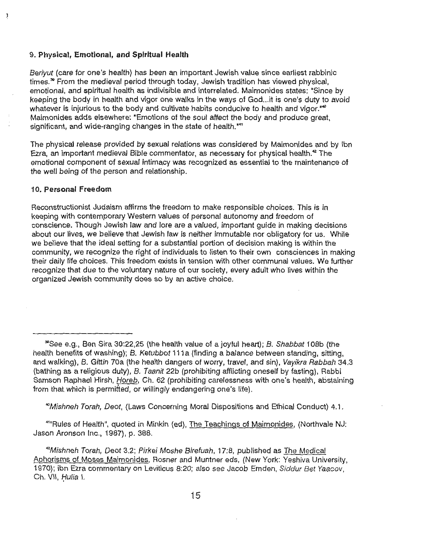#### ( 9. **Physical, Emotional, and Spiritual Health**

Beriyut (care for one's health) has been an important Jewish value since earliest rabbinic times.<sup>36</sup> From the medieval period through today, Jewish tradition has viewed physical, emotional, and spiritual health as indivisible and interrelated. Maimonides states: "Since by keeping the body in health and vigor one walks in the ways of God... it is one's duty to avoid whatever is injurious to the body and cultivate habits conducive to health and vigor."<sup>40</sup> Maimonides adds elsewhere: "Emotions of the soul affect the body and produce great, significant, and wide-ranging changes in the state of health."<sup>11</sup>

The physical release provided by sexual relations was considered by Maimonides and by lbn Ezra, an important medieval Bible commentator, as necessary for physical health.<sup>42</sup> The emotional component of sexual intimacy was recognized as essential to the maintenance of the well being of the person and relationship.

#### 1 O. **Personal Freedom**

ţ

Reconstructionist Judaism affirms the freedom to make responsible choices. This is in keeping with contemporary Western values of personal autonomy and freedom of conscience. Though Jewish law and lore are a valued, important guide in making decisions about our lives, we believe that Jewish law is neither immutable nor obligatory for us. While we believe that the ideal setting for a substantial portion of decision making is within the community, we recognize the right of individuals to listen to their own consciences in making their daily life choices. This freedom exists in tension with other communal values. We further recognize that due to the voluntary nature of our society, every adult who lives within the organized Jewish community does so by an active choice.

40Mishneh Torah, Deot, (Laws Concerning Moral Dispositions and Ethical Conduct) 4.1.

"Rules of Health", quoted in Minkin (ed), The Teachings of Maimonides, (Northvale NJ: Jason Aronson Inc., 1987), p. 388.

*<sup>42</sup>*Mishneh Torah, Oeot 3.2; Pirkei Moshe Birefuah, 17:8, published as The Medical Aphorisms of Moses Maimonides, Rosner and Muntner eds, (New York: Yeshiva University, 1970); ibn Ezra commentary on Leviticus 8:20; also see Jacob Emden, Siddur Bet Yaacov, Ch. VII, *Huli*a I.

<sup>&</sup>quot;See e.g., Ben Sira 30:22,25 (the health value of a joyful heart); B. Shabbat 108b (the health benefits of washing); B. Ketubbot 111a (finding a balance between standing, sitting, and walking), B. Gittin 70a (the health dangers of worry, travel, and sin), Vayikra Rabbah 34.3 (bathing as a religious duty), B. Taanit 22b (prohibiting afflicting oneself by fasting), Rabbi .<br>Samson Raphael Hirsh, *Horeb*, Ch. 62 (prohibiting carelessness with one's health, abstaining from that.which is permitted, or willingly endangering one's life).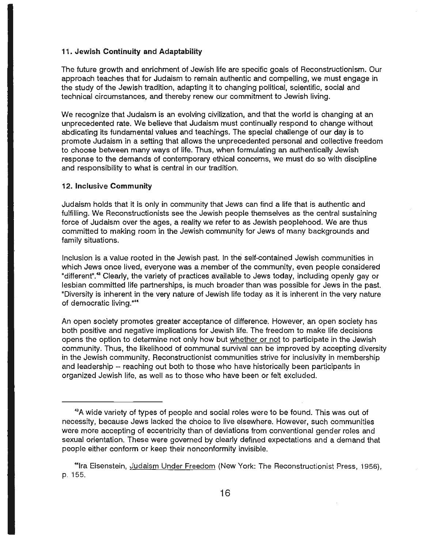#### *(* 11 . **Jewish Continuity and Adaptability**

The future growth and enrichment of Jewish life are specific goals of Reconstructionism. Our approach teaches that for Judaism to remain authentic and compelling, we must engage in the study of the Jewish tradition, adapting it to changing political, scientific, social and technical circumstances, and thereby renew our commitment to Jewish living.

We recognize that Judaism is an evolving civilization, and that the world is changing at an unprecedented rate. We believe that Judaism must continually respond to change without abdicating its fundamental values and teachings. The special challenge of our day is to promote Judaism in a setting that allows the unprecedented personal and collective freedom to choose between many ways of life. Thus, when formulating an authentically Jewish response to the demands of contemporary ethical concerns, we must do so with discipline and responsibility to what is central in our tradition.

#### **12. Inclusive Community**

Judaism holds that it is only in community that Jews can find a life that is authentic and fulfilling. We Reconstructionists see the Jewish people themselves as the central sustaining force of Judaism over the ages, a reality we refer to as Jewish peoplehood. We are thus committed to making room in the Jewish community for Jews of many backgrounds and family situations.

Inclusion is a value rooted in the Jewish past. In the self-contained Jewish communities in which Jews once lived, everyone was a member of the community, even people considered "different".<sup>43</sup> Clearly, the variety of practices available to Jews today, including openly gay or lesbian committed life partnerships, is much broader than was possible for Jews in the past. "Diversity is inherent in the very nature of Jewish life today as it is inherent in the very nature of democratic living."<sup>4</sup>

An open society promotes greater acceptance of difference. However, an open society has both positive and negative implications for Jewish life. The freedom to make life decisions opens the option to determine not only how but whether or not to participate in the Jewish community. Thus, the likelihood of communal survival can be improved by accepting diversity in the Jewish community. Reconstructionist communities strive for inclusivity in membership and leadership -- reaching out both to those who have historically been participants in organized Jewish life, as well as to those who have been or felt excluded.

<sup>43</sup>A wide variety of types of people and social roles were to be found. This was out of necessity, because Jews lacked the choice to live elsewhere. However, such communities were more accepting of eccentricity than of deviations from conventional gender roles and sexual orientation. These were governed by clearly defined expectations and a demand that people either conform or keep their nonconformity invisible .

<sup>&</sup>lt;sup>4</sup> Ira Eisenstein, Judaism Under Freedom (New York: The Reconstructionist Press, 1956), p. 155.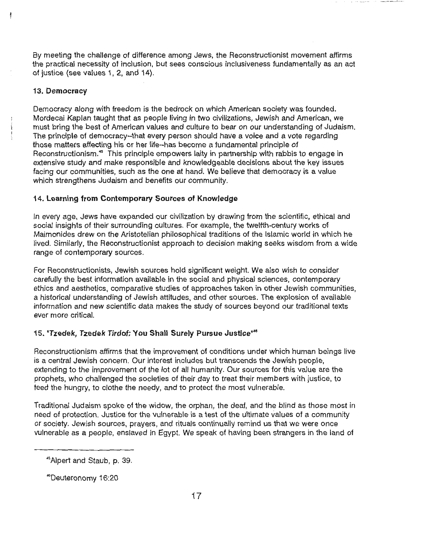By meeting the challenge of difference among Jews, the Reconstructionist movement affirms the practical necessity of inclusion, but sees conscious inclusiveness fundamentally as an act of justice (see values 1, 2, and 14).

# **13. Democracy**

ł

Democracy along with freedom is the bedrock on which American society was founded. Mordecai Kaplan taught that as people living in two civilizations, Jewish and American, we must bring the best of American values and culture to bear on our understanding of Judaism. The principle of democracy-that every person should have a voice and a vote regarding those matters affecting his or her life--has become a fundamental principle of Reconstructionism.<sup>45</sup> This principle empowers laity in partnership with rabbis to engage in extensive study and make responsible and knowledgeable decisions about the key issues facing our communities, such as the one at hand. We believe that democracy is a value which strengthens Judaism and benefits our community.

# **14. Learning from Contemporary Sources of Knowledge**

In every age, Jews have expanded our civilization by drawing from the scientific, ethical and social insights of their surrounding cultures. For example, the twelfth-century works of Maimonides drew on the Aristotelian philosophical traditions of the Islamic world in which he lived. Similarly, the Reconstructionist approach to decision making seeks wisdom from a wide range of contemporary sources.

For Reconstructionists, Jewish sources hold significant weight. We also wish to consider carefully the best information available in the social and physical sciences, contemporary ethics and aesthetics, comparative studies of approaches taken in other Jewish communities, a historical understanding of Jewish attitudes, and other sources. The explosion of available information and new scientific data makes the study of sources beyond our traditional texts ever more critical.

# 15. **"Tzedek, Tzedek Tirdof: You Shall Surely Pursue Justice"48**

Reconstructionism affirms that the improvement of conditions under which human beings live is a central Jewish concern. Our interest includes but transcends the Jewish people, extending to the improvement of the lot of all humanity. Our sources for this value are the prophets, who challenged the societies of their day to treat their members with justice, to feed the hungry, to clothe the needy, and to protect the most vulnerable.

Traditional Judaism spoke of the widow, the orphan, the deaf, and the blind as those most in need of protection. Justice for the vulnerable is a test of the ultimate values of a community or society. Jewish sources, prayers, and rituals continually remind us that we were once vulnerable as a people, enslaved in Egypt. We speak of having been strangers in the land of

<sup>•</sup> 5 Alpert and Staub, p. 39.

<sup>~</sup>Deuteronomy 16:20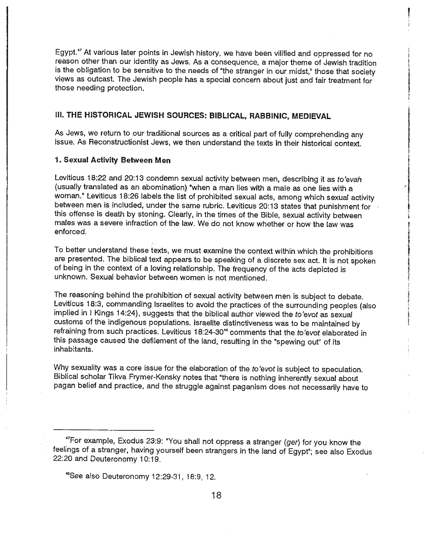Egypt.<sup>47</sup> At various later points in Jewish history, we have been vilified and oppressed for no reason other than our identity as Jews. As a consequence, a major theme of Jewish tradition is the obligation to be sensitive to the needs of "the stranger in our midst," those that society views as outcast. The Jewish people has a special concern about just and fair treatment for those needing protection.

#### Ill. **THE HISTORICAL JEWISH SOURCES: BIBLICAL, RABBINIC, MEDIEVAL**

As Jews, we return to our traditional sources as a critical part of fully comprehending any issue. As Reconstructionist Jews, we then understand the texts in their historical context.

#### **1. Sexual Activity Between Men**

Leviticus 18:22 and 20:13 condemn sexual activity between men, describing it as *to'evah*  (usually translated as an abomination) "when a man lies with a male as one lies with a woman.• Leviticus 18:26 labels the list of prohibited sexual acts, among which sexual activity between men is included, under the same rubric. Leviticus 20:13 states that punishment for this offense is death by stoning. Clearly, in the times of the Bible, sexual activity between males was a severe infraction of the law. We do not know whether or how the law was enforced.

To better understand these texts, we must examine the context within which the prohibitions are presented. The biblical text appears to be speaking of a discrete sex act. It is not spoken of being in the context of a loving relationship. The frequency of the acts depicted is unknown. Sexual behavior between women is not mentioned.

The reasoning behind the prohibition of sexual activity between men is subject to debate. Leviticus 18:3, commanding Israelites to avoid the practices of the surrounding peoples (also implied in I Kings 14:24}, suggests that the biblical author viewed the *to'evot* as sexual customs of the indigenous populations. Israelite distinctiveness was to be maintained by refraining from such practices. Leviticus 18:24-30<sup>48</sup> comments that the *to'evot elaborated in* this passage caused the defilement of the land, resulting in the "spewing out" of its inhabitants.

Why sexuality was a core issue for the elaboration of the *to'evot* is subject to speculation. Biblical scholar Tikva Frymer-Kensky notes that "there is nothing inherently sexual about pagan belief and practice, and the struggle against paganism does not necessarily have to

<sup>47</sup> for example, Exodus 23:9: "You shall not oppress a stranger (ger) for you know the feelings of a stranger, having yourself been strangers in the land of Egypt"; see also Exodus 22:20 and Deuteronomy 10:19.

<sup>48</sup>See also Deuteronomy 12:29-31, 18:9, 12.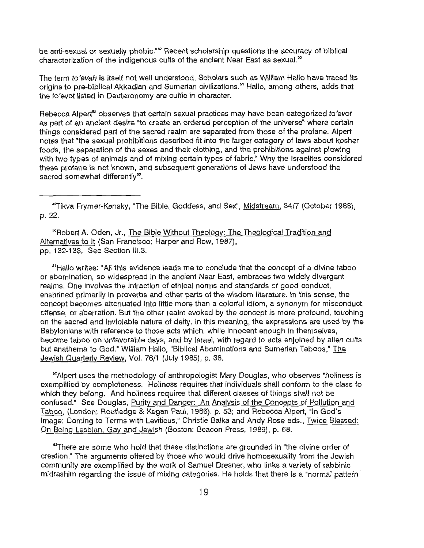be anti-sexual or sexually phobic."<sup>49</sup> Recent scholarship questions the accuracy of biblical characterization of the indigenous cults of the ancient Near East as sexual.<sup>50</sup>

The term *to'evah* is itself not well understood. Scholars such as William Hallo have traced its origins to pre-biblical Akkadian and Sumerian civilizations.<sup>51</sup> Hallo, among others, adds that the *to'evot* listed in Deuteronomy are cultic in character.

Rebecca Alpert<sup>s</sup> observes that certain sexual practices may have been categorized to'evot as part of an ancient desire "to create an ordered perception of the universe" where certain things considered part of the sacred realm are separated from those of the profane. Alpert notes that "the sexual prohibitions described fit into the larger category of laws about kosher foods, the separation of the sexes and their clothing, and the prohibitions against plowing with two types of animals and of mixing certain types of fabric." Why the Israelites considered these profane is not known, and subsequent generations of Jews have understood the sacred somewhat differently<sup>53</sup>.

• 9 Tikva Frymer-Kensky, "The Bible, Goddess, and Sex", Midstream, 34/7 (October 1988), p. 22.

50Robert A. Oden, Jr., The Bible Without Theology: The Theological Tradition and Alternatives to It (San Francisco: Harper and Row, 1987), pp. 132-133. See Section III.3.

<sup>51</sup>Hallo writes: "All this evidence leads me to conclude that the concept of a divine taboo or abomination, so widespread in the ancient Near East, embraces two widely divergent realms. One involves the infraction of ethical norms and standards of good conduct, enshrined primarily in proverbs and other parts of the wisdom literature. In this sense, the concept becomes attenuated into little more than a colorful idiom, a synonym for misconduct, offense, or aberration. But the other realm evoked by the concept is more profound, touching on the sacred and inviolable nature of deity. In this meaning, the expressions are used by the Babylonians with reference to those acts which, while innocent enough in themselves, become taboo on unfavorable days, and by Israel, with regard to acts enjoined by alien cults but anathema to God." William Hallo, "Biblical Abominations and Sumerian Taboos," The Jewish Quarterly Review, Vol. 76/1 (July 1985), p. 38.

<sup>52</sup>Alpert uses the methodology of anthropologist Mary Douglas, who observes "holiness is exemplified by completeness. Holiness requires that individuals shall conform to the class to which they belong. And holiness requires that different classes of things shall not be confused." See Douglas, Purity and Danger: An Analysis of the Concepts of Pollution and Taboo, (London: Routledge & Kegan Paul, 1966), p. 53; and Rebecca Alpert, "In God's Image: Coming to Terms with Leviticus," Christie Balka and Andy Rose eds., Twice Blessed: On Being Lesbian, Gay and Jewish (Boston: Beacon Press, 1989), p. 68.

<sup>53</sup>There are some who hold that these distinctions are grounded in "the divine order of creation." The arguments offered by those who would drive homosexuality from the Jewish community are exemplified by the work of Samuel Dresner, who links a variety of rabbinic midrashim regarding the issue of mixing categories. He holds that there is a "normal pattern ·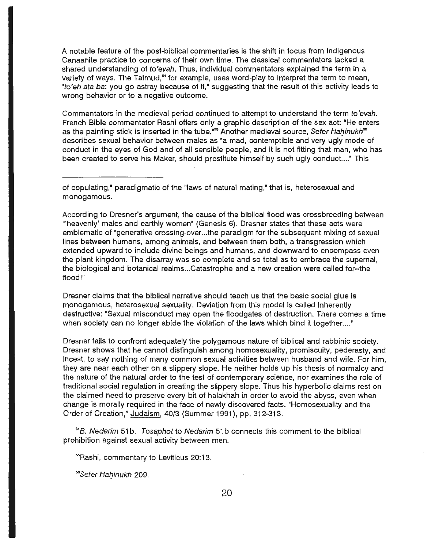A notable feature of the post-biblical commentaries is the shift in focus from indigenous Canaanite practice to concerns of their own time. The classical commentators lacked a shared understanding of to'evah. Thus, individual commentators explained the term in a variety of ways. The Talmud,<sup>84</sup> for example, uses word-play to interpret the term to mean, "to'eh ata ba: you go astray because of it," suggesting that the result of this activity leads to wrong behavior or to a negative outcome.

Commentators in the medieval period continued to attempt to understand the term to'evah. French Bible commentator Rashi offers only a graphic description of the sex act: "He enters as the painting stick is inserted in the tube."<sup>55</sup> Another medieval source, Se*fer Hahinukh*"<sup>6</sup> describes sexual behavior between males as "a mad, contemptible and very ugly mode of conduct in the eyes of God and of all sensible people, and it is not fitting that man, who has been created to serve his Maker, should prostitute himself by such ugly conduct...." This

According to Dresner's argument, the cause of the biblical flood was crossbreeding between "'heavenly' males and earthly women" (Genesis 6). Dresner states that these acts were emblematic of "generative crossing-over ... the paradigm for the subsequent mixing of sexual lines between humans, among animals, and between them both, a transgression which extended upward to include divine beings and humans, and downward to encompass even the plant kingdom. The disarray was so complete and so total as to embrace the supernal, the biological and botanical realms ... Catastrophe and a new creation were called for--the flood!"

Dresner claims that the biblical narrative should teach us that the basic social glue is monogamous, heterosexual sexuality. Deviation from this model is called inherently destructive: "Sexual misconduct may open the floodgates of destruction. There comes a time when society can no longer abide the violation of the laws which bind it together...."

Dresner fails to confront adequately the polygamous nature of biblical and rabbinic society. Dresner shows that he cannot distinguish among homosexuality, promiscuity, pederasty, and incest, to say nothing of many common sexual activities between husband and wife. For him, they are near each other on a slippery slope. He neither holds up his thesis of normalcy and the nature of the natural order to the test of contemporary science, nor examines the role of traditional social regulation in creating the slippery slope. Thus his hyperbolic claims rest on the claimed need to preserve every bit of halakhah in order to avoid the abyss, even when change is morally required in the face of newly discovered facts. "Homosexuality and the Order of Creation," Judaism, 40/3 (Summer 1991), pp. 312-313.

<sup>64</sup>B. Nedarim 51b. Tosaphot to Nedarim 51b connects this comment to the biblical prohibition against sexual activity between men.

55Rashi, commentary to Leviticus 20: 13.

<sup>56</sup>Sefer Hahinukh 209.

of copulating," paradigmatic of the "laws of natural mating,• that is, heterosexual and monogamous.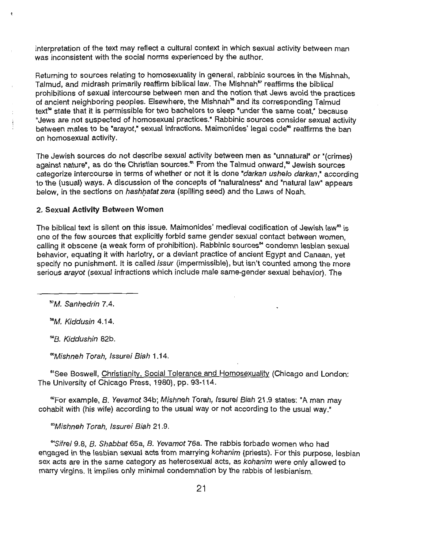interpretation of the text may reflect a cultural context in which sexual activity between man was inconsistent with the social norms experienced by the author.

Returning to sources relating to homosexuality in general, rabbinic sources in the Mishnah, Talmud, and midrash primarily reaffirm biblical law. The Mishnah<sup>57</sup> reaffirms the biblical prohibitions of sexual intercourse between men and the notion that Jews avoid the practices of ancient neighboring peoples. Elsewhere, the Mishnah<sup>58</sup> and its corresponding Talmud text<sup>se</sup> state that it is permissible for two bachelors to sleep "under the same coat," because "Jews are not suspected of homosexual practices.• Rabbinic sources consider sexual activity between males to be "arayot," sexual infractions. Maimonides' legal code" reaffirms the ban on homosexual activity.

The Jewish sources do not describe sexual activity between men as "unnatural" or "(crimes) against nature", as do the Christian sources.<sup>\*</sup> From the Talmud onward,<sup>"</sup> Jewish sources categorize intercourse in terms of whether or not it is done "darkan ushelo darkan," according to the (usual) ways. A discussion of the concepts of "naturalness" and "natural law" appears below, in the sections on hashhatat zera (spilling seed) and the Laws of Noah.

# **2. Sexual Activity Between Women**

The biblical text is silent on this issue. Maimonides' medieval codification of Jewish law<sup>es</sup> is one of the few sources that explicitly forbid same gender sexual contact between women, calling it obscene (a weak form of prohibition). Rabbinic sources<sup>84</sup> condemn lesbian sexual behavior, equating it with harlotry, or a deviant practice of ancient Egypt and Canaan, yet specify no punishment. It is called *issur* (impermissible), but isn't counted among the more serious arayot (sexual infractions which include male same-gender sexual behavior). The

*<sup>51</sup>*M. Sanhedrin 7.4.

<sup>58</sup>M. Kiddusin 4.14.

""B. Kiddushin 82b.

00Mishneh Torah, /ssurei Biah 1.14.

<sup>81</sup>See Boswell, Christianity, Social Tolerance and Homosexuality (Chicago and London: The University of Chicago Press, 1980), pp. 93-114.

<sup>e</sup>For example, B. Yevamot 34b; Mishneh Torah, Issurei Biah 21.9 states: "A man may cohabit with (his wife) according to the usual way or not according to the usual way."

*<sup>113</sup>*Mishneh Torah, /ssurei Biah 21.9.

<sup>64</sup>Sifrei 9.8, B. Shabbat 65a, B. Yevamot 76a. The rabbis forbade women who had engaged in the lesbian sexual acts from marrying kohanim (priests). For this purpose, lesbian sex acts are in the same category as heterosexual acts, as kohanim were only allowed to marry virgins. It implies only minimal condemnation by the rabbis of lesbianism.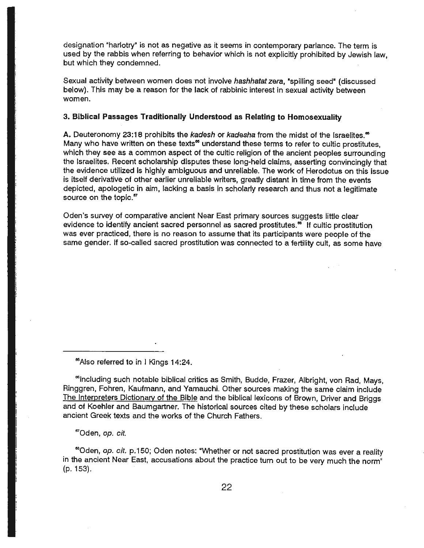designation "harlotry" is not as negative as it seems in contemporary parlance. The term is used by the rabbis when referring to behavior which is not explicitly prohibited by Jewish law, but which they condemned.

Sexual activity between women does not involve hashhatat zera, "spilling seed" (discussed below). This may be a reason for the lack of rabbinic interest in sexual activity between women.

#### **3. Biblical Passages Traditionally Understood as Relating to Homosexuality**

A. Deuteronomy 23:18 prohibits the kadesh or kadesha from the midst of the Israelites.<sup>85</sup> Many who have written on these texts<sup>ee</sup> understand these terms to refer to cultic prostitutes, which they see as a common aspect of the cultic religion of the ancient peoples surrounding the Israelites. Recent scholarship disputes these long-held claims, asserting convincingly that the evidence utilized is highly ambiguous and unreliable. The work of Herodotus on this issue is itself derivative of other earlier unreliable writers, greatly distant in time from the events depicted, apologetic in aim, lacking a basis in scholarly research and thus not a legitimate source on the topic.<sup>67</sup>

Oden's survey of comparative ancient Near East primary sources suggests little clear evidence to identify ancient sacred personnel as sacred prostitutes.<sup>88</sup> If cultic prostitution was ever practiced, there is no reason to assume that its participants were people of the same gender. If so-called sacred prostitution was connected to a fertility cult, as some have

esAlso referred to in I Kings 14:24.

**<sup>es</sup>including such notable biblical critics as Smith, Budde, Frazer, Albright, von Rad, Mays,** Ringgren, Fohren, Kaufmann, and Yamauchi. Other sources making the same claim include The Interpreters Dictionary of the Bible and the biblical lexicons of Brown, Driver and Briggs and of Koehler and Baumgartner. The historical sources cited by these scholars include ancient Greek texts and the works of the Church Fathers.

e1Oden, *op. cit.* 

<sup>08</sup>Oden, *op. cit.* p.150; Oden notes: "Whether or not sacred prostitution was ever a reality in the ancient Near East, accusations about the practice turn out to be very much the norm" (p. 153).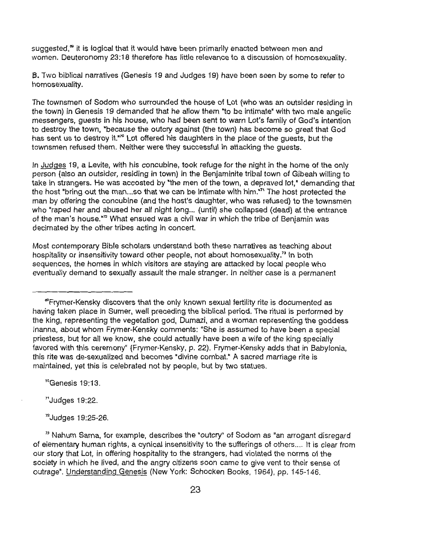suggested.<sup>®</sup> it is logical that it would have been primarily enacted between men and women. Deuteronomy 23:18 therefore has little relevance to a discussion of homosexuality.

8. Two biblical narratives (Genesis 19 and Judges 19) have been seen by some to refer to homosexuality.

The townsmen of Sodom who surrounded the house of Lot (who was an outsider residing in the town) in Genesis 19 demanded that he allow them "to be intimate" with two male angelic messengers, guests in his house, who had been sent to warn Lot's family of God's intention to destroy the town, "because the outcry against (the town) has become so great that God has sent us to destroy it."<sup>2</sup> Lot offered his daughters in the place of the quests, but the townsmen refused them. Neither were they successful in attacking the guests.

In Judges 19, a Levite, with his concubine, took refuge for the night in the home of the only person (also an outsider, residing in town) in the Benjaminite tribal town of Gibeah willing to take in strangers. He was accosted by "the men of the town, a depraved lot." demanding that the host "bring out the man...so that we can be intimate with him."<sup>71</sup> The host protected the man by offering the concubine (and the host's daughter, who was refused) to the townsmen who "raped her and abused her all night long... (until) she collapsed (dead) at the entrance of the man's house."72 What ensued was a civil war in which the tribe of Benjamin was decimated by the other tribes acting in concert.

Most contemporary Bible scholars understand both these narratives as teaching about hospitality or insensitivity toward other people, not about homosexuality.<sup>73</sup> in both sequences, the homes in which visitors are staying are attacked by local people who eventually demand to sexually assault the male stranger. In neither case is a permanent

 $^{\prime\prime}$ Genesis 19:13.

 $"$ Judges 19:22.

 $n<sup>2</sup>$ Judges 19:25-26.

 $33$  Nahum Sarna, for example, describes the "outcry" of Sodom as "an arrogant disregard of elementary human rights, a cynical insensitivity to the sufferings of others .... It is clear from our story that Lot, in offering hospitality to the strangers, had violated the norms of the society in which he lived, and the angry citizens soon came to give vent to their sense of outrage". Understanding Genesis (New York: Schocken Books, 1964), pp. 145-146.

<sup>119</sup>Frymer-Kensky discovers that the only known sexual fertility rite is documented as having taken place in Sumer, well preceding the biblical period. The ritual is performed by the king, representing the vegetation god, Dumazi, and a woman representing the goddess lnanna, about whom Frymer-Kensky comments: "She is assumed to have been a special priestess, but for all we know, she could actually have been a wife of the king specially favored with this ceremony" (Frymer-Kensky, p. 22). Frymer-Kensky adds that in Babylonia, this rite was de-sexualized and becomes "divine combat.• A sacred marriage rite is maintained, yet this is celebrated not by people, but by two statues.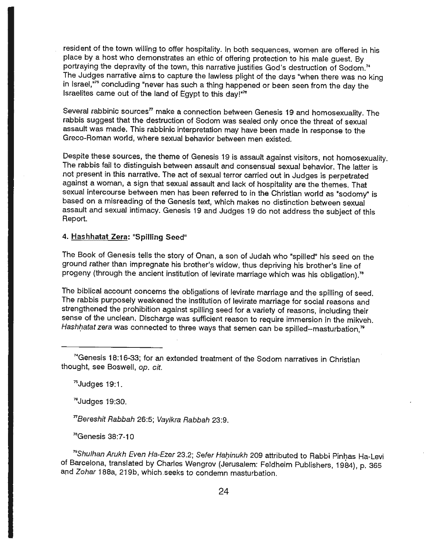resident of the town willing to offer hospitality. In both sequences, women are offered in his place by a host who demonstrates an ethic of offering protection to his male guest. By portraying the depravity of the town, this narrative justifies God's destruction of Sodom.<sup>74</sup> The Judges narrative aims to capture the lawless plight of the days "when there was no king in Israel,<sup>"75</sup> concluding "never has such a thing happened or been seen from the day the Israelites came out of the land of Egypt to this day!"79

Several rabbinic sources<sup> $n$ </sup> make a connection between Genesis 19 and homosexuality. The rabbis suggest that the destruction of Sodom was sealed only once the threat of sexual assault was made. This rabbinic interpretation may have been made in response to the Greco-Roman world, where sexual behavior between men existed.

Despite these sources, the theme of Genesis 19 is assault against visitors, not homosexuality. The rabbis fail to distinguish between assault and consensual sexual behavior. The latter is not present in this narrative. The act of sexual terror carried out in Judges is perpetrated against a woman, a sign that sexual assault and lack of hospitality are the themes. That sexual intercourse between men has been referred to in the Christian world as "sodomy" is based on a misreading of the Genesis text, which makes no distinction between sexual assault and sexual intimacy. Genesis 19 and Judges 19 do not address the subject of this Report.

#### **4. Hashhatat Zera: "Spilling Seed"**

The Book of Genesis tells the story of Onan, a son of Judah who "spilled" his seed on the ground rather than impregnate his brother's widow, thus depriving his brother's line of progeny (through the ancient institution of levirate marriage which was his obligation).<sup>76</sup>

The biblical account concerns the obligations of levirate marriage and the spilling of seed. The rabbis purposely weakened the institution of levirate marriage for social reasons and strengthened the prohibition against spilling seed for a variety of reasons, including their sense of the unclean. Discharge was sufficient reason to require immersion in the mikveh. Hashhatat zera was connected to three ways that semen can be spilled--masturbation, $<sup>n</sup>$ </sup>

<sup>74</sup>Genesis 18:16-33; for an extended treatment of the Sodom narratives in Christian thought, see Boswell, *op. cit.* 

 $<sup>75</sup>$  Judges 19:1.</sup>

 $"$ Judges 19:30.

<sup>n</sup>Bereshit Rabbah 26:5; Vayikra Rabbah 23:9.

<sup>78</sup>Genesis 38:7-10

<sup>79</sup> Shulhan Arukh Even Ha-Ezer 23.2; Sefer Hahinukh 209 attributed to Rabbi Pinhas Ha-Levi of Barcelona, translated by Charles Wengrov (Jerusalem: Feldheim Publishers, 1984), p. 365 and Zohar 188a, 219b, which seeks to condemn masturbation.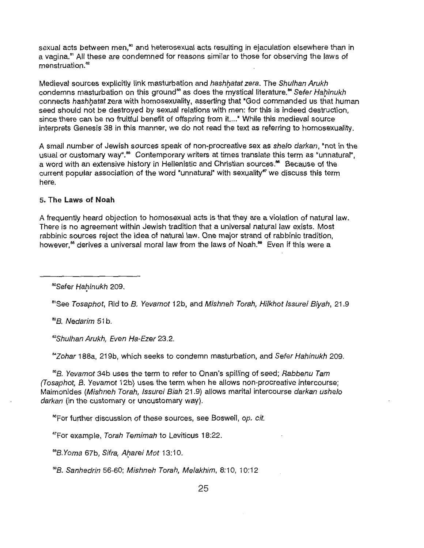sexual acts between men,<sup>80</sup> and heterosexual acts resulting in ejaculation elsewhere than in a vagina.<sup>81</sup> All these are condemned for reasons similar to those for observing the laws of menstruation.<sup>82</sup>

Medieval sources explicitly link masturbation and hashhatat zera. The Shulhan Arukh condemns masturbation on this ground<sup>83</sup> as does the mystical literature.<sup>84</sup> Sefer Hahinukh connects hashhatat zera with homosexuality, asserting that "God commanded us that human seed should not be destroyed by sexual relations with men: for this is indeed destruction, since there can be no fruitful benefit of offspring from it...." While this medieval source interprets Genesis 38 in this manner, we do not read the text as referring to homosexuality.

A small number of Jewish sources speak of non-procreative sex as shelo darkan, "not in the usual or customary way".<sup>86</sup> Contemporary writers at times translate this term as "unnatural", a word with an extensive history in Hellenistic and Christian sources.<sup>86</sup> Because of the current popular association of the word "unnatural" with sexuality" we discuss this term here.

#### 5. **The Laws of Noah**

A frequently heard objection to homosexual acts is that they are a violation of natural law. There is no agreement within Jewish tradition that a universal natural law exists. Most rabbinic sources reject the idea of natural law. One major strand of rabbinic tradition, however.<sup>88</sup> derives a universal moral law from the laws of Noah.<sup>89</sup> Even if this were a

%Sefer Hahinukh 209.<br>"See Tosaphot, Rid to B. Yevamot 12b, and Mishneh Torah, Hilkhot Issurei Biyah, 21.9

<sup>82</sup>B. Nedarim 51 b.

<sup>83</sup>Shulhan Arukh, Even Ha-Ezer 23.2.

&IZohar 188a, 219b, which seeks to condemn masturbation, and Sefer Hahinukh 209.

<sup>86</sup>B. Yevamot 34b uses the term to refer to Onan's spilling of seed; Rabbenu Tam (Tosaphot, 8. Yevamot 12b} uses the term when he allows non-procreative intercourse; Maimonides (Mishneh Torah, Issurei Biah 21.9) allows marital intercourse darkan ushelo darkan (in the customary or uncustomary way).

<sup>86</sup>For further discussion of these sources, see Boswell, op. cit.

<sup>87</sup>For example, Torah Temimah to Leviticus 18:22.

<sup>68</sup>B. Yoma 67b, Sifra, Aharei Mot 13:10.

<sup>89</sup>B. Sanhedrin 56-60; Mishneh Torah, Melakhim, 8:10, 10:12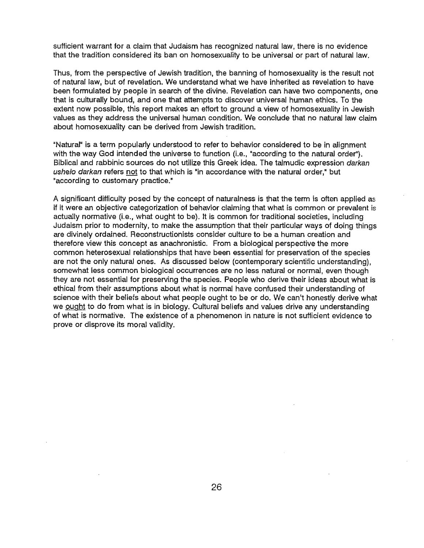sufficient warrant for a claim that Judaism has recognized natural law, there is no evidence that the tradition considered its ban on homosexuality to be universal or part of natural law.

Thus, from the perspective of Jewish tradition, the banning of homosexuality is the result not of natural law, but of revelation. We understand what we have inherited as revelation to have been formulated by people in search of the divine. Revelation can have two components, one that is culturally bound, and one that attempts to discover universal human ethics. To the extent now possible, this report makes an effort to ground a view of homosexuality in Jewish values as they address the universal human condition. We conclude that no natural law claim about homosexuality can be derived from Jewish tradition.

"Natural" is a term popularly understood to refer to behavior considered to be in alignment with the way God intended the universe to function (i.e., "according to the natural order"). Biblical and rabbinic sources do not utilize this Greek idea. The talmudic expression darkan ushelo darkan refers not to that which is "in accordance with the natural order," but "according to customary practice."

A significant difficulty posed by the concept of naturalness is that the term is often applied as if it were an objective categorization of behavior claiming that what is common or prevalent is actually normative (i.e., what ought to be). It is common for traditional societies, including Judaism prior to modernity, to make the assumption that their particular ways of doing things are divinely ordained. Reconstructionists consider culture to be a human creation and therefore view this concept as anachronistic. From a biological perspective the more common heterosexual relationships that have been essential for preservation of the species are not the only natural ones. As discussed below (contemporary scientific understanding), somewhat less common biological occurrences are no less natural or normal, even though they are not essential for preserving the species. People who derive their ideas about what is ethical from their assumptions about what is normal have confused their understanding of science with their beliefs about what people ought to be or do. We can't honestly derive what we ought to do from what is in biology. Cultural beliefs and values drive any understanding of what is normative. The existence of a phenomenon in nature is not sufficient evidence to prove or disprove its moral validity.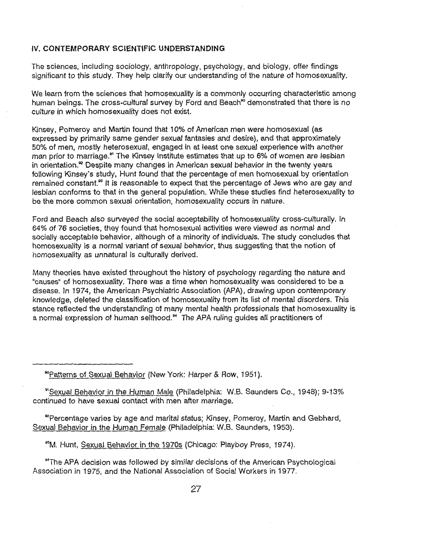#### **IV. CONTEMPORARY SCIENTIFIC UNDERSTANDING**

The sciences, including sociology, anthropology, psychology, and biology, offer findings significant to this study. They help clarify our understanding of the nature of homosexuality.

We learn from the sciences that homosexuality is a commonly occurring characteristic among human beings. The cross-cultural survey by Ford and Beach<sup>®</sup> demonstrated that there is no culture in which homosexuality does not exist.

Kinsey, Pomeroy and Martin found that 10% of American men were homosexual (as expressed by primarily same gender sexual fantasies and desire), and that approximately 50% of men, mostly heterosexual, engaged in at least one sexual experience with another man prior to marriage.<sup>91</sup> The Kinsey Institute estimates that up to 6% of women are lesbian in orientation.<sup>22</sup> Despite many changes in American sexual behavior in the twenty years following Kinsey's study, Hunt found that the percentage of men homosexual by orientation remained constant.<sup>83</sup> It is reasonable to expect that the percentage of Jews who are gay and lesbian conforms to that in the general population. While these studies find heterosexuality to be the more common sexual orientation, homosexuality occurs in nature.

Ford and Beach also surveyed the social acceptability of homosexuality cross-culturally. In 64% of 76 societies, they found that homosexual activities were viewed as normal and socially acceptable behavior, although of a minority of individuals. The study concludes that homosexuality is a normal variant of sexual behavior, thus suggesting that the notion of homosexuality as unnatural is culturally derived.

Many theories have existed throughout the history of psychology regarding the nature and "causes" of homosexuality. There was a time when homosexuality was considered to be a disease. In 1974, the American Psychiatric Association (APA), drawing upon contemporary knowledge, deleted the classification of homosexuality from its list of mental disorders. This stance reflected the understanding of many mental health professionals that homosexuality is a normal expression of human selfhood.<sup>"</sup> The APA ruling guides all practitioners of

90Patterns of Sexual Behavior (New York: Harper & Row, 1951 ).

<sup>91</sup> Sexual Behavior in the Human Male (Philadelphia: W.B. Saunders Co., 1948); 9-13% continued to have sexual contact with men after marriage.

<sup>82</sup> Percentage varies by age and marital status; Kinsey, Pomeroy, Martin and Gebhard, Sexual Behavior in the Human Female (Philadelphia: W.B. Saunders, 1953).

93M. Hunt, Sexual Behavior in the 1970s (Chicago: Playboy Press, 1974).

""The APA decision was followed by similar decisions of the American Psychological Association in 1975, and the National Association of Social Workers in 1977.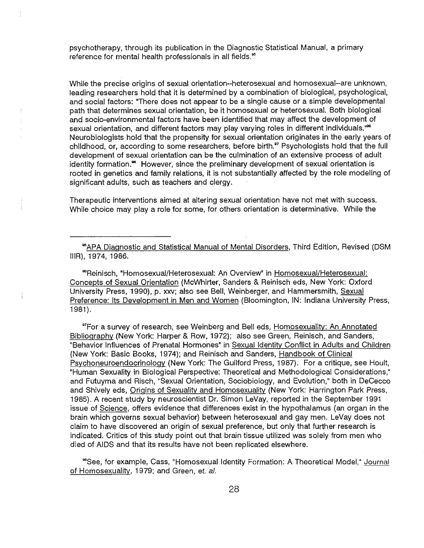psychotherapy, through its publication in the Diagnostic Statistical Manual, a primary reference for mental health professionals in all fields.<sup>85</sup>

While the precise origins of sexual orientation--heterosexual and homosexual--are unknown, leading researchers hold that it is determined by a combination of biological, psychological, and social factors: "There does not appear to be a single cause or a simple developmental path that determines sexual orientation, be it homosexual or heterosexual. Both biological and socio-environmental factors have been identified that may affect the development of sexual orientation, and different factors may play varying roles in different individuals."<sup>66</sup> Neurobiologists hold that the propensity for sexual orientation originates in the early years of childhood, or, according to some researchers, before birth.<sup>97</sup> Psychologists hold that the full development of sexual orientation can be the culmination of an extensive process of adult identity formation.<sup>86</sup> However, since the preliminary development of sexual orientation is rooted in genetics and family relations, it is not substantially affected by the role modeling of significant adults, such as teachers and clergy.

Therapeutic interventions aimed at altering sexual orientation have not met with success. While choice may play a role for some, for others orientation is determinative. While the

<sup>®</sup>APA Diagnostic and Statistical Manual of Mental Disorders, Third Edition, Revised (DSM IIIR), 1974, 1986.

96Reinisch, "Homosexual/Heterosexual: An Overview" in Homosexual/Heterosexual: Concepts of Sexual Orientation (McWhirter, Sanders & Reinisch eds, New York: Oxford University Press, 1990), p. xxv; also see Bell, Weinberger, and Hammersmith, Sexual Preference: Its Development in Men and Women (Bloomington, IN: Indiana University Press, 1981).

ŧ

<sup>97</sup>For a survey of research, see Weinberg and Bell eds, Homosexuality: An Annotated Bibliography (New York: Harper & Row, 1972); also see Green, Reinisch, and Sanders, "Behavior Influences of Prenatal Hormones" in Sexual Identity Conflict in Adults and Children (New York: Basic Books, 1974); and Reinisch and Sanders, Handbook of Clinical Psychoneuroendocrinology **(New** York: The Guilford Press, 1987). For a critique, see Hoult, "Human Sexuality in Biological Perspective: Theoretical and Methodological Considerations," and Futuyma and Risch, "Sexual Orientation, Sociobiology, and Evolution," both in DeCecco and Shively eds, Origins of Sexuality and Homosexuality (New York: Harrington Park Press, 1985). A recent study by neuroscientist Dr. Simon LeVay, reported in the September 1991 issue of Science, offers evidence that differences exist in the hypothalamus (an organ in the brain which governs sexual behavior) between heterosexual and gay men. LeVay does not claim to have discovered an origin of sexual preference, but only that further research is indicated. Critics of this study point out that brain tissue utilized was solely from men who died of AIDS and that its results have not been replicated elsewhere.

98See, for example, Cass, "Homosexual Identity Formation: A Theoretical Model," Journal of Homosexuality, 1979; and Green, et. al.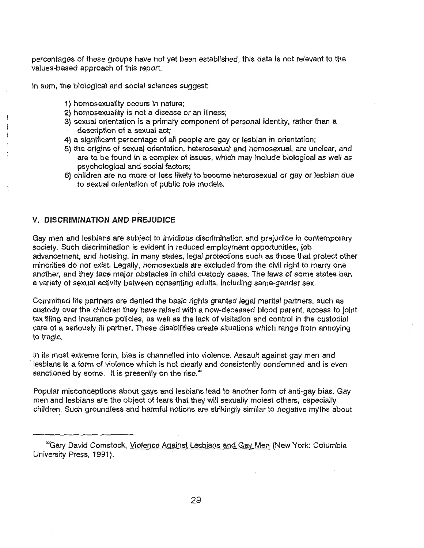percentages of these groups have not yet been established, this data is not relevant to the values-based approach of this report.

In sum, the biological and social sciences suggest:

- 1) homosexuality occurs in nature;
- 2) homosexuality is not a disease or an illness;
- 3) sexual orientation is a primary component of personal identity, rather than a description of a sexual act;
- 4) a significant percentage of all people are gay or lesbian in orientation;
- 5) the origins of sexual orientation, heterosexual and homosexual, are unclear, and are to be found in a complex of issues, which may include biological as well as psychological and social factors;
- 6) children are no more or less likely to become heterosexual or gay or lesbian due to sexual orientation of public role models.

## **V. DISCRIMINATION AND PREJUDICE**

Gay men and lesbians are subject to invidious discrimination and prejudice in contemporary society. Such discrimination is evident in reduced employment opportunities, job advancement, and housing. In many states, legal protections such as those that protect other minorities do not exist. Legally, homosexuals are excluded from the civil right to marry one another, and they face major obstacles in child custody cases. The laws of some states ban a variety of sexual activity between consenting adults, including same-gender sex.

Committed life partners are denied the basic rights granted legal marital partners, such as custody over the children they have raised with a now-deceased blood parent, access to joint tax filing and insurance policies, as well as the lack of visitation and control in the custodial care of a seriously ill partner. These disabilities create situations which range from annoying to tragic.

In its most extreme form, bias is channelled into violence. Assault against gay men and lesbians is a form of violence which is not clearly and consistently condemned and is even sanctioned by some. It is presently on the rise.<sup>80</sup>

Popular misconceptions about gays and lesbians lead to another form of anti-gay bias. Gay men and lesbians are the object of fears that they will sexually molest others, especially children. Such groundless and harmful notions are strikingly similar to negative myths about

<sup>&</sup>lt;sup>®</sup>Gary David Comstock, Violence Against Lesbians and Gay Men (New York: Columbia University Press, 1991).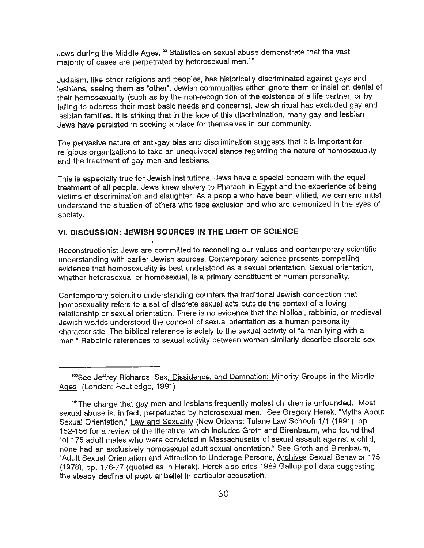Jews during the Middle Ages.<sup>100</sup> Statistics on sexual abuse demonstrate that the vast majority of cases are perpetrated by heterosexual men.<sup>101</sup>

Judaism, like other religions and peoples, has historically discriminated against gays and lesbians, seeing them as "other". Jewish communities either ignore them or insist on denial of their homosexuality (such as by the non-recognition of the existence of a life partner, or by failing to address their most basic needs and concerns). Jewish ritual has excluded gay and lesbian families. It is striking that in the face of this discrimination, many gay and lesbian Jews have persisted in seeking a place for themselves in our community.

The pervasive nature of anti-gay bias and discrimination suggests that it is important for religious organizations to take an unequivocal stance regarding the nature of homosexuality and the treatment of gay men and lesbians.

This is especially true for Jewish institutions. Jews have a special concern with the equal treatment of all people. Jews knew slavery to Pharaoh in Egypt and the experience of being victims of discrimination and slaughter. As a people who have been vilified, we can and must understand the situation of others who face exclusion and who are demonized in the eyes of society.

# **VI. DISCUSSION: JEWISH SOURCES IN THE LIGHT OF SCIENCE**

Reconstructionist Jews are committed to reconciling our values and contemporary scientific understanding with earlier Jewish sources. Contemporary science presents compelling evidence that homosexuality is best understood as a sexual orientation. Sexual orientation, whether heterosexual or homosexual, is a primary constituent of human personality.

Contemporary scientific understanding counters the traditional Jewish conception that homosexuality refers to a set of discrete sexual acts outside the context of a loving relationship or sexual orientation. There is no evidence that the biblical, rabbinic, or medieval Jewish worlds understood the concept of sexual orientation as a human personality characteristic. The biblical reference is solely to the sexual activity of "a man lying with a man." Rabbinic references to sexual activity between women similarly describe discrete sex

<sup>&</sup>lt;sup>100</sup>See Jeffrey Richards, Sex, Dissidence, and Damnation: Minority Groups in the Middle Ages (London: Routledge, 1991).

<sup>&</sup>lt;sup>101</sup>The charge that gay men and lesbians frequently molest children is unfounded. Most sexual abuse is, in fact, perpetuated by heterosexual men. See Gregory Herek, "Myths About Sexual Orientation," Law and Sexuality (New Orleans: Tulane Law School) 1/1 (1991), pp. 152-156 for a review of the literature, which includes Groth and Birenbaum, who found that "of 175 adult males who were convicted in Massachusetts of sexual assault against a child, none had an exclusively homosexual adult sexual orientation." See Groth and Birenbaum, "Adult Sexual Orientation and Attraction to Underage Persons, Archives Sexual Behavior 175 (1978), pp. 176-77 (quoted as in Herek). Herek also cites 1989 Gallup poll data suggesting the steady decline of popular belief in particular accusation.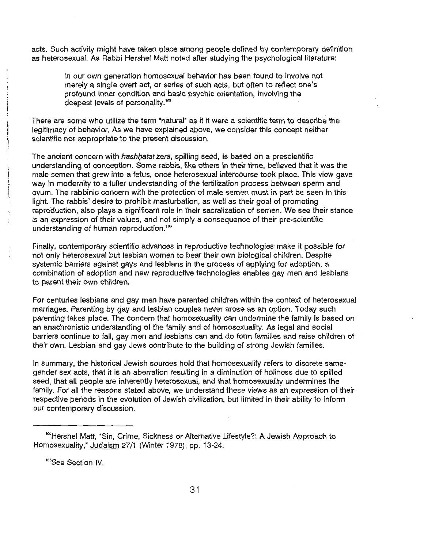acts. Such activity might have taken place among people defined by contemporary definition as heterosexual. As Rabbi Hershel Matt noted after studying the psychological literature:

In our own generation homosexual behavior has been found to involve not merely a single overt act, or series of such acts, but often to reflect one's profound inner condition and basic psychic orientation, involving the deepest levels of personality.<sup>102</sup>

There are some who utilize the term "natural" as if it were a scientific term to describe the legitimacy of behavior. As we have explained above, we consider this concept neither scientific nor appropriate to the present discussion.

The ancient concern with hashhatat zera, spilling seed, is based on a prescientific understanding of conception. Some rabbis, like others in their time, believed that it was the male semen that grew into a fetus, once heterosexual intercourse took place. This view gave way in modernity to a fuller understanding of the fertilization process between sperm and ovum. The rabbinic concern with the protection of male semen must in part be seen in this light. The rabbis' desire to prohibit masturbation, as well as their goal of promoting reproduction, also plays a significant role in their sacralization of semen. We see their stance is an expression of their values, and not simply a consequence of their pre-scientific understanding of human reproduction.<sup>103</sup>

Finally, contemporary scientific advances in reproductive technologies make it possible for not only heterosexual but lesbian women to bear their own biological children. Despite systemic barriers against gays and lesbians in the process of applying for adoption, a combination of adoption and new reproductive technologies enables gay men and lesbians to parent their own children.

For centuries lesbians and gay men have parented children within the context of heterosexual marriages. Parenting by gay and lesbian couples never arose as an option. Today such parenting takes place. The concern that homosexuality can undermine the family is based on an anachronistic understanding of the family and of homosexuality. As legal and social barriers continue to fall, gay men and lesbians can and do form families and raise children of their own. Lesbian and gay Jews contribute to the building of strong Jewish families.

In summary, the historical Jewish sources hold that homosexuality refers to discrete samegender sex acts, that it is an aberration resulting in a diminution of holiness due to spilled seed, that all people are inherently heterosexual, and that homosexuality undermines the family. For all the reasons stated above, we understand these views as an expression of their respective periods in the evolution of Jewish civilization, but limited in their ability to inform our contemporary discussion.

103See Section IV.

<sup>&</sup>lt;sup>102</sup>Hershel Matt, "Sin, Crime, Sickness or Alternative Lifestyle?: A Jewish Approach to Homosexuality," Judaism 27/1 (Winter 1978), pp. 13-24.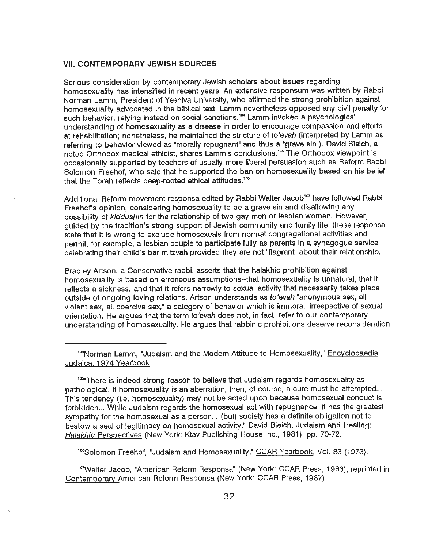#### ( **VII. CONTEMPORARY JEWISH SOURCES**

Serious consideration by contemporary Jewish scholars about issues regarding homosexuality has intensified in recent years. An extensive responsum was written by Rabbi Norman Lamm, President of Yeshiva University, who affirmed the strong prohibition against homosexuality advocated in the biblical text. Lamm nevertheless opposed any civil penalty for such behavior, relying instead on social sanctions.<sup>104</sup> Lamm invoked a psychologica<sup>l</sup> understanding of homosexuality as a disease in order to encourage compassion and efforts at rehabilitation; nonetheless, he maintained the stricture of *to'evah* (interpreted by Lamm as referring to behavior viewed as "morally repugnant" and thus a "grave sin"). David Bleich, a noted Orthodox medical ethicist, shares Lamm's conclusions.<sup>105</sup> The Orthodox viewpoint is occasionally supported by teachers of usually more liberal persuasion such as Reform Rabbi Solomon Freehof, who said that he supported the ban on homosexuality based on his belief that the Torah reflects deep-rooted ethical attitudes.<sup>108</sup>

Additional Reform movement responsa edited by Rabbi Walter Jacob<sup>167</sup> have followed Rabbi Freehof's opinion, considering homosexuality to be a grave sin and disallowing any possibility of kiddushin for the relationship of two gay men or lesbian women. However, guided by the tradition's strong support of Jewish community and family life, these responsa state that it is wrong to exclude homosexuals from normal congregational activities and permit, for example, a lesbian couple to participate fully as parents in a synagogue service celebrating their child's bar mitzvah provided they are not "flagrant" about their relationship.

Bradley Artson, a Conservative rabbi, asserts that the halakhic prohibition against homosexuality is based on erroneous assumptions-that homosexuality is unnatural, that it reflects a sickness, and that it refers narrowly to sexual activity that necessarily takes place outside of ongoing loving relations. Artson understands as *to'evah* "anonymous sex, all violent sex, all coercive sex,• a category of behavior which is immoral, irrespective of sexual orientation. He argues that the term *to'evah* does not, in fact, refer to our contemporary understanding of homosexuality. He argues that rabbinic prohibitions deserve reconsideration

<sup>1</sup> Norman Lamm, \*Judaism and the Modern Attitude to Homosexuality," Encyclopaedia Judaica, 1974 Yearbook.

1 os.'There is indeed strong reason to believe that Judaism regards homosexuality as pathological. If homosexuality is an aberration, then, of course, a cure must be attempted... This tendency (i.e. homosexuality) may not be acted upon because homosexual conduct is forbidden... While Judaism regards the homosexual act with repugnance, it has the greatest sympathy for the homosexual as a person... (but) society has a definite obligation not to bestow a seal of legitimacy on homosexual activity." David Bleich, Judaism and Healing: Halakhic Perspectives (New York: Ktav Publishing House Inc., 1981), pp. 70-72.

<sup>166</sup>Solomon Freehof, "Judaism and Homosexuality," CCAR Yearbook, Vol. 83 (1973).

<sup>10</sup>7Walter Jacob, "American Reform Responsa" (New York: CCAR Press, 1983), reprinted in Contemporary American Reform Responsa (New York: CCAR Press, 1987).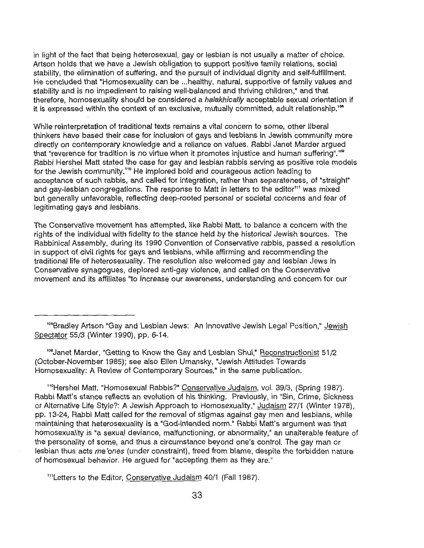in light of the fact that being heterosexual, gay or lesbian is not usually a matter of choice. Artson holds that we have a Jewish obligation to support positive family relations, social stability, the elimination of suffering, and the pursuit of individual dignity and self-fulfillment. He concluded that "Homosexuality can be ... healthy, natural, supportive of family values and stability and is no impediment to raising well-balanced and thriving children," and that therefore, homosexuality should be considered a halakhically acceptable sexual orientation if it is expressed within the context of an exclusive, mutually committed, adult relationship.'"  $\,$ 

While reinterpretation of traditional texts remains a vital concern to some, other liberal thinkers have based their case for inclusion of gays and lesbians in Jewish community more directly on contemporary knowledge and a reliance on values. Rabbi Janet Marder argued that "reverence for tradition is no virtue when it promotes injustice and human suffering".<sup>109</sup> Rabbi Hershel Matt stated the case for gay and lesbian rabbis serving as positive role models for the Jewish community.<sup>110</sup> He implored bold and courageous action leading to acceptance of such rabbis, and called for integration, rather than separateness, of "straight" and gay-lesbian congregations. The response to Matt in letters to the editor<sup>111</sup> was mixed but generally unfavorable, reflecting deep-rooted personal or societal concerns and fear of legitimating gays and lesbians.

The Conservative movement has attempted, like Rabbi Matt, to balance a concern with the rights of the individual with fidelity to the stance held by the historical Jewish sources. The Rabbinical Assembly, during its 1990 Convention of Conservative rabbis, passed a resolution in support of civil rights for gays and lesbians, while affirming and recommending the traditional life of heterosexuality. The resolution also welcomed gay and lesbian Jews in Conservative synagogues, deplored anti-gay violence, and called on the Conservative movement and its affiliates "to increase our awareness, understanding and concern for our

<sup>109</sup> Janet Marder, "Getting to Know the Gay and Lesbian Shul," Reconstructionist 51/2 (October-November 1985); see also Ellen Umansky, "Jewish Attitudes Towards Homosexuality: A Review of Contemporary Sources,• in the same publication.

<sup>11º</sup>Hershel Matt, "Homosexual Rabbis?" Conservative Judaism, vol. 39/3, (Spring 1987). Rabbi Matt's stance reflects an evolution of his thinking. Previously, in "Sin, Crime, Sickness or Alternative Life Style?: A Jewish Approach to Homosexuality," Judaism 27/1 (Winter 1978), pp. 13-24, Rabbi Matt called for the removal of stigmas against gay men and lesbians, while maintaining that heterosexuality is a "God-intended norm.• Rabbi Matt's argument was that homosexuality is "a sexual deviance, malfunctioning, or abnormality," an unalterable feature of the personality of some, and thus a circumstance beyond one's control. The gay man or lesbian thus acts *me'ones* (under constraint), freed from blame, despite the forbidden nature of homosexual behavior. He argued for "accepting them as they are."

<sup>111</sup>Letters to the Editor, Conservative Judaism 40/1 (Fall 1987).

<sup>&</sup>lt;sup>108</sup>Bradley Artson "Gay and Lesbian Jews: An Innovative Jewish Legal Position," Jewish Spectator 55/3 (Winter 1990), pp. 6-14.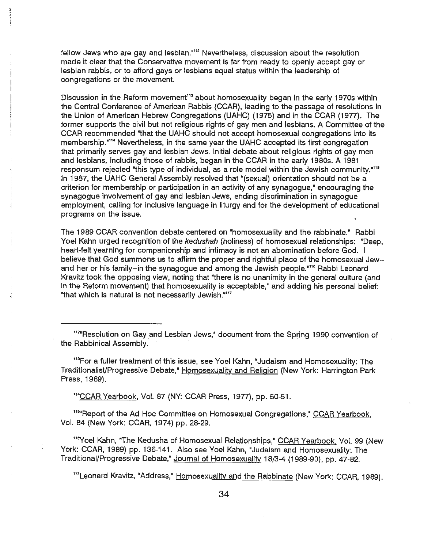fellow Jews who are gay and lesbian.<sup>"112</sup> Nevertheless, discussion about the resolution made it clear that the Conservative movement is far from ready to openly accept gay or lesbian rabbis, or to afford gays or lesbians equal status within the leadership of congregations or the movement.

Discussion in the Reform movement<sup>113</sup> about homosexuality began in the early 1970s within the Central Conference of American Rabbis (CCAR), leading to the passage of resolutions in the Union of American Hebrew Congregations (UAHC) (1975) and in the CCAR (1977). The former supports the civil but not religious rights of gay men and lesbians. A Committee of the CCAR recommended "that the UAHC should not accept homosexual congregations into its membership.<sup>"114</sup> Nevertheless, in the same year the UAHC accepted its first congregation that primarily serves gay and lesbian Jews. Initial debate about religious rights of gay men and lesbians, including those of rabbis, began in the CCAR in the early 1980s. A 1981 responsum rejected "this type of individual, as a role model within the Jewish community."<sup>115</sup> In 1987, the UAHC General Assembly resolved that "(sexual) orientation should not be a criterion for membership or participation in an activity of any synagogue," encouraging the synagogue involvement of gay and lesbian Jews, ending discrimination in synagogue employment, calling for inclusive language in liturgy and for the development of educational programs on the issue.

The 1989 CCAR convention debate centered on "homosexuality and the rabbinate." Rabbi Yoel Kahn urged recognition of the kedushah (holiness) of homosexual relationships: "Deep, heart-felt yearning for companionship and intimacy is not an abomination before God. I believe that God summons us to affirm the proper and rightful place of the homosexual Jew- and her or his family--in the synagogue and among the Jewish people."<sup>116</sup> Rabbi Leonard Kravitz took the opposing view, noting that "there is no unanimity in the general culture (and in the Reform movement) that homosexuality is acceptable," and adding his personal belief: "that which is natural is not necessarily Jewish."<sup>117</sup>

<sup>113</sup>For a fuller treatment of this issue, see Yoel Kahn, "Judaism and Homosexuality: The TraditionalisVProgressive Debate,• Homosexuality and Religion (New York: Harrington Park Press, 1989).

<sup>114</sup>CCAR Yearbook, Vol. 87 (NY: CCAR Press, 1977), pp. 50-51.

<sup>115</sup> Report of the Ad Hoc Committee on Homosexual Congregations," CCAR Yearbook, Vol. 84 (New York: CCAR, 1974) pp. 28-29.

<sup>118</sup>Yoel Kahn, "The Kedusha of Homosexual Relationships," CCAR Yearbook, Vol. 99 (New York: CCAR, 1989) pp. 136-141. Also see Yoel Kahn, "Judaism and Homosexuality: The Traditional/Progressive Debate," Journal of Homosexuality 18/3-4 (1989-90), pp. 47-82.

<sup>117</sup>Leonard Kravitz, "Address," Homosexuality and the Rabbinate (New York: CCAR, 1989).

<sup>&</sup>lt;sup>112</sup> Resolution on Gay and Lesbian Jews,<sup>\*</sup> document from the Spring 1990 convention of the Rabbinical Assembly.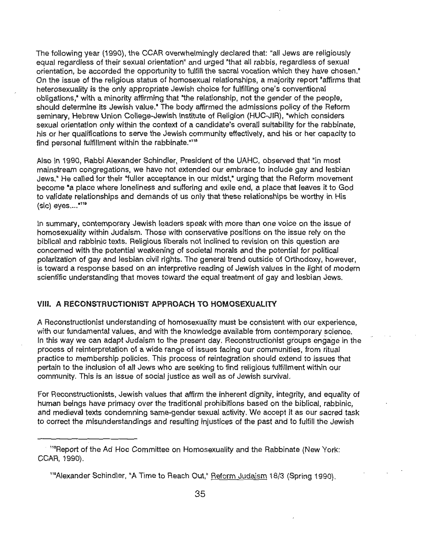The following year (1990), the CCAR overwhelmingly declared that: "all Jews are religiously equal regardless of their sexual orientation" and urged "that all rabbis, regardless of sexual orientation, be accorded the opportunity to fulfill the sacral vocation which they have chosen." On the issue of the religious status of homosexual relationships, a majority report "affirms that heterosexuality is the only appropriate Jewish choice for fulfilling one's conventional obligations,• with a minority affirming that "the relationship, not the gender of the people, should determine its Jewish value." The body affirmed the admissions policy of the Reform seminary, Hebrew Union College-Jewish Institute of Religion (HUC-JIR), "which considers sexual orientation only within the context of a candidate's overall suitability for the rabbinate, his or her qualifications to serve the Jewish community effectively, and his or her capacity to find personal fulfillment within the rabbinate."<sup>118</sup>

Also in 1990, Rabbi Alexander Schindler, President of the UAHC, observed that "in most mainstream congregations, we have not extended our embrace to include gay and lesbian Jews." He called for their "fuller acceptance in our midst," urging that the Reform movement become "a place where loneliness and suffering and exile end, a place that leaves it to God to validate relationships and demands of us only that these relationships be worthy in His  $(sic)$  eyes.... $"119"$ 

In summary, contemporary Jewish leaders speak with more than one voice on the issue of homosexuality within Judaism. Those with conservative positions on the issue rely on the biblical and rabbinic texts. Religious liberals not inclined to revision on this question are concerned with the potential weakening of societal morals and the potential for political polarization of gay and lesbian civil rights. The general trend outside of Orthodoxy, however, is toward a response based on an interpretive reading of Jewish values in the light of modern scientific understanding that moves toward the equal treatment of gay and lesbian Jews.

#### **VIII. A RECONSTRUCTIONIST APPROACH TO HOMOSEXUALITY**

A Reconstructionist understanding of homosexuality must be consistent with our experience, with our fundamental values, and with the knowledge available from contemporary science. In this way we can adapt Judaism to the present day. Reconstructionist groups engage in the process of reinterpretation of a wide range of issues facing our communities, from ritual practice to membership policies. This process of reintegration should extend to issues that pertain to the inclusion of all Jews who are seeking to find religious fulfillment within our community. This is an issue of social justice as well as of Jewish survival.

For Reconstructionists, Jewish values that affirm the inherent dignity, integrity, and equality of human beings have primacy over the traditional prohibitions based on the biblical, rabbinic, and medieval texts condemning same-gender sexual activity. We accept it as our sacred task to correct the misunderstandings and resulting injustices of the past and to fulfill the Jewish

iteport of the Ad Hoc Committee on Homosexuality and the Rabbinate (New York: CCAR, 1990).

<sup>&</sup>lt;sup>119</sup>Alexander Schindler, "A Time to Reach Out," Reform Judaism 18/3 (Spring 1990).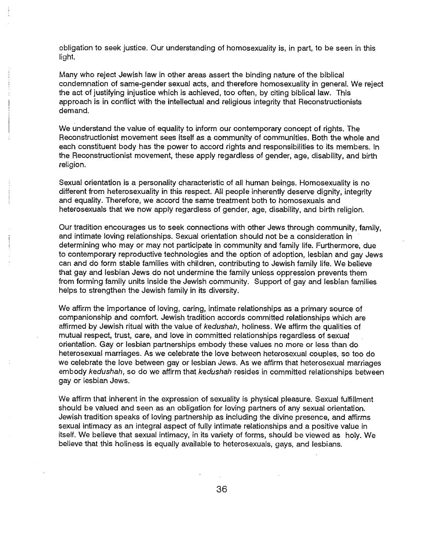obligation to seek justice. Our understanding of homosexuality is, in part, to be seen in this light.

Many who reject Jewish law in other areas assert the binding nature of the biblical condemnation of same-gender sexual acts, and therefore homosexuality in general. We reject the act of justifying injustice which is achieved, too often, by citing biblical law. This approach is in conflict with the intellectual and religious integrity that Reconstructionists demand.

We understand the value of equality to inform our contemporary concept of rights. The Reconstructionist movement sees itself as a community of communities. Both the whole and each constituent body has the power to accord rights and responsibilities to its members. In the Reconstructionist movement, these apply regardless of gender, age, disability, and birth religion.

Sexual orientation is a personality characteristic of all human beings. Homosexuality is no different from heterosexuality in this respect. All people inherently deserve dignity, integrity and equality. Therefore, we accord the same treatment both to homosexuals and heterosexuals that we now apply regardless of gender, age, disability, and birth religion.

Our tradition encourages us to seek connections with other Jews through community, family, and intimate loving relationships. Sexual orientation should not be a consideration in determining who may or may not participate in community and family life. Furthermore, due to contemporary reproductive technologies and the option of adoption, lesbian and gay Jews can and do form stable families with children, contributing to Jewish family life. We believe that gay and lesbian Jews do not undermine the family unless oppression prevents them from forming family units inside the Jewish community. Support of gay and lesbian families helps to strengthen the Jewish family in its diversity.

We affirm the importance of loving, caring, intimate relationships as a primary source of companionship and comfort. Jewish tradition accords committed relationships which are affirmed by Jewish ritual with the value of kedushah, holiness. We affirm the qualities of mutual respect, trust, care, and love in committed relationships regardless of sexual orientation. Gay or lesbian partnerships embody these values no more or less than do heterosexual marriages. As we celebrate the love between heterosexual couples, so too do we celebrate the love between gay or lesbian Jews. As we affirm that heterosexual marriages embody kedushah, so do we affirm that kedushah resides in committed relationships between gay or lesbian Jews.

We affirm that inherent in the expression of sexuality is physical pleasure. Sexual fulfillment should be valued and seen as an obligation for loving partners of any sexual orientation. Jewish tradition speaks of loving partnership as including the divine presence, and affirms sexual intimacy as an integral aspect of fully intimate relationships and a positive value in itself. We believe that sexual intimacy, in its variety of forms, should be viewed as holy. We believe that this holiness is equally available to heterosexuals, gays, and lesbians.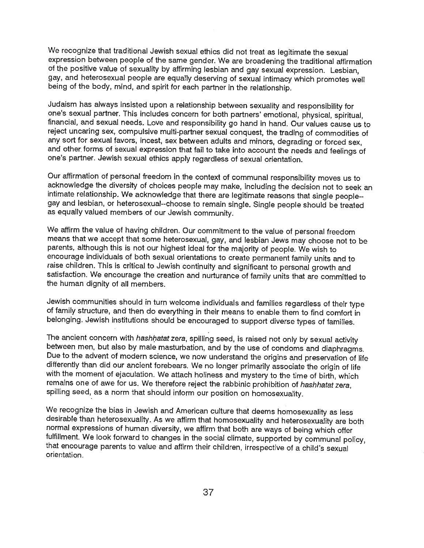We recognize that traditional Jewish sexual ethics did not treat as legitimate the sexual expression between people of the same gender. We are broadening the traditional affirmation of the positive value of sexuality by affirming lesbian and gay sexual expression. Lesbian, gay, and heterosexual people are equally deserving of sexual intimacy which promotes well being of the body, mind, and spirit for each partner in the relationship.

Judaism has always insisted upon a relationship between sexuality and responsibility for one's sexual partner. This includes concern for both partners' emotional, physical, spiritual, financial, and sexual needs. Love and responsibility go hand in hand. Our values cause us to reject uncaring sex, compulsive multi-partner sexual conquest, the trading of commodities of any sort for sexual favors, incest, sex between adults and minors, degrading or forced sex, and other forms of sexual expression that fail to take into account the needs and feelings of one's partner. Jewish sexual ethics apply regardless of sexual orientation.

Our affirmation of personal freedom in the context of communal responsibility moves us to acknowledge the diversity of choices people may make, including the decision not to seek an intimate relationship. We acknowledge that there are legitimate reasons that single people- gay and lesbian, or heterosexual--choose to remain single. Single people should be treated as equally valued members of our Jewish community.

We affirm the value of having children. Our commitment to the value of personal freedom means that we accept that some heterosexual, gay, and lesbian Jews may choose not to be parents, although this is not our highest ideal for the majority of people. We wish to encourage individuals of both sexual orientations to create permanent family units and to raise children. This is critical to Jewish continuity and significant to personal growth and satisfaction. We encourage the creation and nurturance of family units that are committed to the human dignity of all members.

Jewish communities should in turn welcome individuals and families regardless of their type of family structure, and then do everything in their means to enable them to find comfort in belonging. Jewish institutions should be encouraged to support diverse types of families.

The ancient concern with hashhatat zera, spilling seed, is raised not only by sexual activity between men, but also by male masturbation, and by the use of condoms and diaphragms. Due to the advent of modern science, we now understand the origins and preservation of life differently than did our ancient forebears. We no longer primarily associate the origin of life with the moment of ejaculation. We attach holiness and mystery to the time of birth, which remains one of awe for us. We therefore reject the rabbinic prohibition of hashhatat zera, spilling seed, as a norm that should inform our position on homosexuality.

We recognize the bias in Jewish and American culture that deems homosexuality as less desirable than heterosexuality. As we affirm that homosexuality and heterosexuality are both normal expressions of human diversity, we affirm that both are ways of being which offer fulfillment. We look forward to changes in the social climate, supported by communal policy, that encourage parents to value and affirm their children, irrespective of a child's sexual orientation.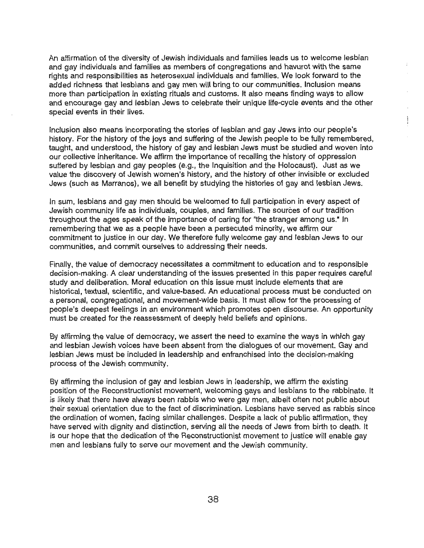An affirmation of the diversity of Jewish individuals and families leads us to welcome lesbian and gay individuals and families as members of congregations and havurot with the same rights and responsibilities as heterosexual individuals and families. We look forward to the added richness that lesbians and gay men will bring to our communities. Inclusion means more than participation in existing rituals and customs. It also means finding ways to allow and encourage gay and lesbian Jews to celebrate their unique life-cycle events and the other special events in their lives.

Inclusion also means incorporating the stories of lesbian and gay Jews into our people's history. For the history of the joys and suffering of the Jewish people to be fully remembered, taught, and understood, the history of gay and lesbian Jews must be studied and woven into our collective inheritance. We affirm the importance of recalling the history of oppression suffered by lesbian and gay peoples (e.g., the Inquisition and the Holocaust). Just as we value the discovery of Jewish women's history, and the history of other invisible or excluded Jews (such as Marranos), we all benefit by studying the histories of gay and lesbian Jews.

In sum, lesbians and gay men should be welcomed to full partfcipation in every aspect of Jewish community life as individuals, couples, and families. The sources of our tradition throughout the ages speak of the importance of caring for "the stranger among us." In remembering that we as a people have been a persecuted minority, we affirm our commitment to justice in our day. We therefore fully welcome gay and lesbian Jews to our communities, and commit ourselves to addressing their needs.

Finally, the value of democracy necessitates a commitment to education and to responsible decision-making. A clear understanding of the issues presented in this paper requires careful study and deliberation. Moral education on this issue must include elements that are historical, textual, scientific, and value-based. An educational process must be conducted on a personal, congregational, and movement-wide basis. It must allow for the processing of people's deepest feelings in an environment which promotes open discourse. An opportunity must be created for the reassessment of deeply held beliefs and opinions.

By affirming the value of democracy, we assert the need to examine the ways in which gay and lesbian Jewish voices have been absent from the dialogues of our movement. Gay and lesbian Jews must be included in leadership and enfranchised into the decision-making process of the Jewish community.

By affirming the inclusion of gay and lesbian Jews in leadership, we affirm the existing position of the Reconstructionist movement, welcoming gays and lesbians to the rabbinate. It is likely that there have always been rabbis who were gay men, albeit often not public about their sexual orientation due to the fact of discrimination. Lesbians have served as rabbis since the ordination of women, facing similar challenges. Despite a lack of public affirmation, they have served with dignity and distinction, serving all the needs of Jews from birth to death. It is our hope that the dedication of the Reconstructionist movement to justice will enable gay men and lesbians fully to serve our movement and the Jewish community.